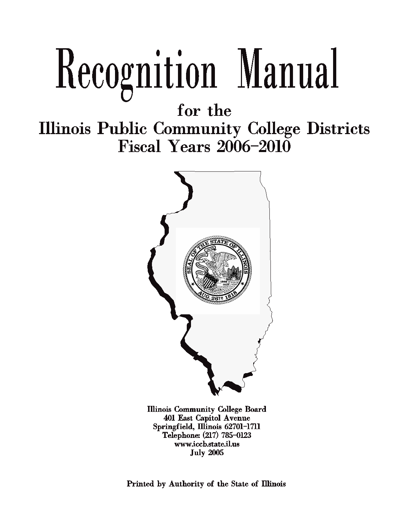# Recognition Manual

for the

**Illinois Public Community College Districts Fiscal Years 2006-2010** 



**Illinois Community College Board** 401 East Capitol Avenue Springfield, Illinois 62701-1711 Telephone: (217) 785-0123 www.iccb.state.il.us **July 2005** 

Printed by Authority of the State of Illinois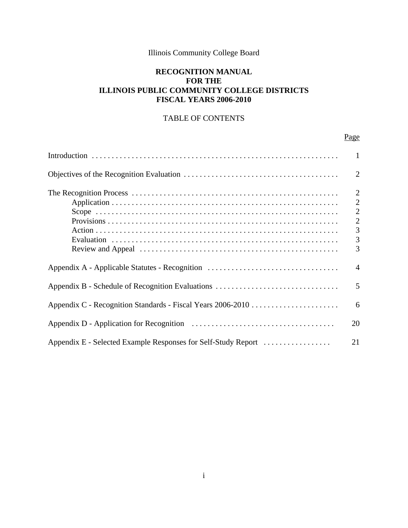# Illinois Community College Board

# **RECOGNITION MANUAL FOR THE ILLINOIS PUBLIC COMMUNITY COLLEGE DISTRICTS FISCAL YEARS 2006-2010**

# TABLE OF CONTENTS

# Page

|                                                               | -1                                                                                  |
|---------------------------------------------------------------|-------------------------------------------------------------------------------------|
|                                                               | 2                                                                                   |
|                                                               | $\overline{2}$<br>$\overline{2}$<br>$\overline{2}$<br>$\overline{2}$<br>3<br>3<br>3 |
| Appendix A - Applicable Statutes - Recognition                | $\overline{4}$                                                                      |
| Appendix B - Schedule of Recognition Evaluations              | 5                                                                                   |
|                                                               | 6                                                                                   |
|                                                               | 20                                                                                  |
| Appendix E - Selected Example Responses for Self-Study Report | 21                                                                                  |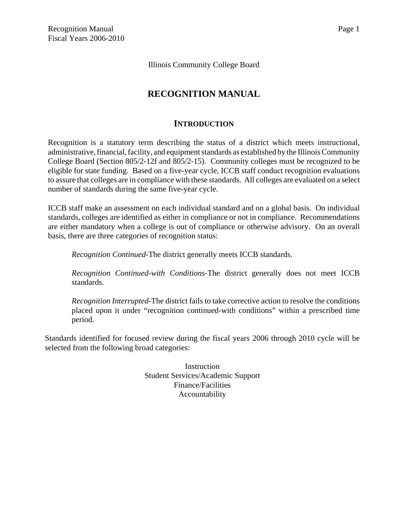Illinois Community College Board

# **RECOGNITION MANUAL**

# **INTRODUCTION**

Recognition is a statutory term describing the status of a district which meets instructional, administrative, financial, facility, and equipment standards as established by the Illinois Community College Board (Section 805/2-12f and 805/2-15). Community colleges must be recognized to be eligible for state funding. Based on a five-year cycle, ICCB staff conduct recognition evaluations to assure that colleges are in compliance with these standards. All colleges are evaluated on a select number of standards during the same five-year cycle.

ICCB staff make an assessment on each individual standard and on a global basis. On individual standards, colleges are identified as either in compliance or not in compliance. Recommendations are either mandatory when a college is out of compliance or otherwise advisory. On an overall basis, there are three categories of recognition status:

*Recognition Continued*-The district generally meets ICCB standards.

*Recognition Continued-with Conditions*-The district generally does not meet ICCB standards.

*Recognition Interrupted*-The district fails to take corrective action to resolve the conditions placed upon it under "recognition continued-with conditions" within a prescribed time period.

Standards identified for focused review during the fiscal years 2006 through 2010 cycle will be selected from the following broad categories:

> Instruction Student Services/Academic Support Finance/Facilities Accountability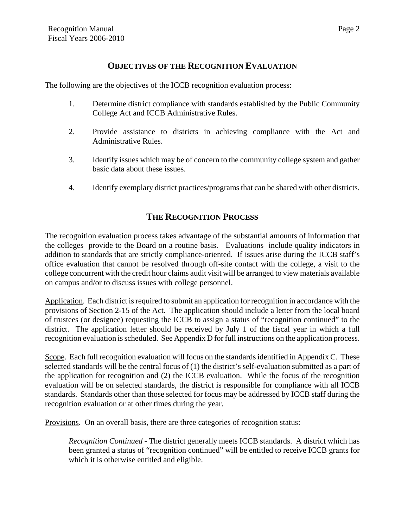# **OBJECTIVES OF THE RECOGNITION EVALUATION**

The following are the objectives of the ICCB recognition evaluation process:

- 1. Determine district compliance with standards established by the Public Community College Act and ICCB Administrative Rules.
- 2. Provide assistance to districts in achieving compliance with the Act and Administrative Rules.
- 3. Identify issues which may be of concern to the community college system and gather basic data about these issues.
- 4. Identify exemplary district practices/programs that can be shared with other districts.

# **THE RECOGNITION PROCESS**

The recognition evaluation process takes advantage of the substantial amounts of information that the colleges provide to the Board on a routine basis. Evaluations include quality indicators in addition to standards that are strictly compliance-oriented. If issues arise during the ICCB staff's office evaluation that cannot be resolved through off-site contact with the college, a visit to the college concurrent with the credit hour claims audit visit will be arranged to view materials available on campus and/or to discuss issues with college personnel.

Application. Each district is required to submit an application for recognition in accordance with the provisions of Section 2-15 of the Act. The application should include a letter from the local board of trustees (or designee) requesting the ICCB to assign a status of "recognition continued" to the district. The application letter should be received by July 1 of the fiscal year in which a full recognition evaluation is scheduled. See Appendix D for full instructions on the application process.

Scope. Each full recognition evaluation will focus on the standards identified in Appendix C. These selected standards will be the central focus of (1) the district's self-evaluation submitted as a part of the application for recognition and (2) the ICCB evaluation. While the focus of the recognition evaluation will be on selected standards, the district is responsible for compliance with all ICCB standards. Standards other than those selected for focus may be addressed by ICCB staff during the recognition evaluation or at other times during the year.

Provisions. On an overall basis, there are three categories of recognition status:

*Recognition Continued* - The district generally meets ICCB standards. A district which has been granted a status of "recognition continued" will be entitled to receive ICCB grants for which it is otherwise entitled and eligible.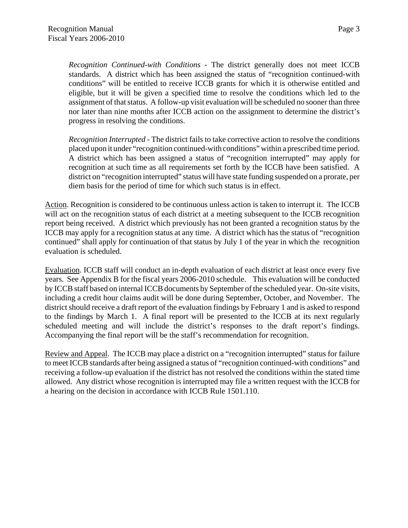*Recognition Continued-with Conditions* - The district generally does not meet ICCB standards. A district which has been assigned the status of "recognition continued-with conditions" will be entitled to receive ICCB grants for which it is otherwise entitled and eligible, but it will be given a specified time to resolve the conditions which led to the assignment of that status. A follow-up visit evaluation will be scheduled no sooner than three nor later than nine months after ICCB action on the assignment to determine the district's progress in resolving the conditions.

*Recognition Interrupted* - The district fails to take corrective action to resolve the conditions placed upon it under "recognition continued-with conditions" within a prescribed time period. A district which has been assigned a status of "recognition interrupted" may apply for recognition at such time as all requirements set forth by the ICCB have been satisfied. A district on "recognition interrupted" status will have state funding suspended on a prorate, per diem basis for the period of time for which such status is in effect.

Action. Recognition is considered to be continuous unless action is taken to interrupt it. The ICCB will act on the recognition status of each district at a meeting subsequent to the ICCB recognition report being received. A district which previously has not been granted a recognition status by the ICCB may apply for a recognition status at any time. A district which has the status of "recognition continued" shall apply for continuation of that status by July 1 of the year in which the recognition evaluation is scheduled.

Evaluation. ICCB staff will conduct an in-depth evaluation of each district at least once every five years. See Appendix B for the fiscal years 2006-2010 schedule. This evaluation will be conducted by ICCB staff based on internal ICCB documents by September of the scheduled year. On-site visits, including a credit hour claims audit will be done during September, October, and November. The district should receive a draft report of the evaluation findings by February 1 and is asked to respond to the findings by March 1. A final report will be presented to the ICCB at its next regularly scheduled meeting and will include the district's responses to the draft report's findings. Accompanying the final report will be the staff's recommendation for recognition.

Review and Appeal. The ICCB may place a district on a "recognition interrupted" status for failure to meet ICCB standards after being assigned a status of "recognition continued-with conditions" and receiving a follow-up evaluation if the district has not resolved the conditions within the stated time allowed. Any district whose recognition is interrupted may file a written request with the ICCB for a hearing on the decision in accordance with ICCB Rule 1501.110.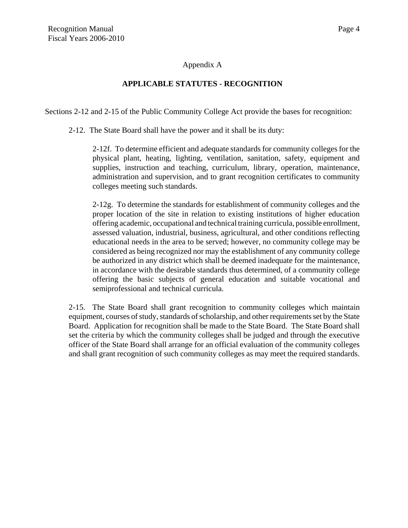## Appendix A

## **APPLICABLE STATUTES - RECOGNITION**

Sections 2-12 and 2-15 of the Public Community College Act provide the bases for recognition:

2-12. The State Board shall have the power and it shall be its duty:

2-12f. To determine efficient and adequate standards for community colleges for the physical plant, heating, lighting, ventilation, sanitation, safety, equipment and supplies, instruction and teaching, curriculum, library, operation, maintenance, administration and supervision, and to grant recognition certificates to community colleges meeting such standards.

2-12g. To determine the standards for establishment of community colleges and the proper location of the site in relation to existing institutions of higher education offering academic, occupational and technical training curricula, possible enrollment, assessed valuation, industrial, business, agricultural, and other conditions reflecting educational needs in the area to be served; however, no community college may be considered as being recognized nor may the establishment of any community college be authorized in any district which shall be deemed inadequate for the maintenance, in accordance with the desirable standards thus determined, of a community college offering the basic subjects of general education and suitable vocational and semiprofessional and technical curricula.

2-15. The State Board shall grant recognition to community colleges which maintain equipment, courses of study, standards of scholarship, and other requirements set by the State Board. Application for recognition shall be made to the State Board. The State Board shall set the criteria by which the community colleges shall be judged and through the executive officer of the State Board shall arrange for an official evaluation of the community colleges and shall grant recognition of such community colleges as may meet the required standards.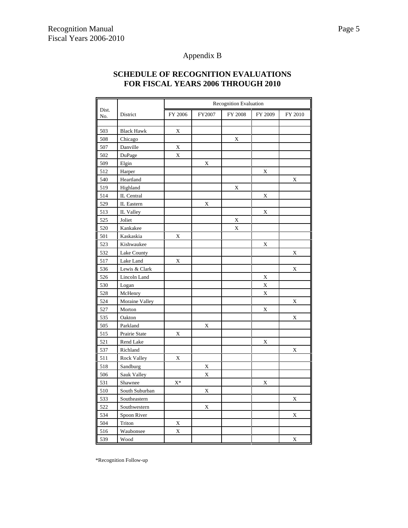# Appendix B

# **SCHEDULE OF RECOGNITION EVALUATIONS FOR FISCAL YEARS 2006 THROUGH 2010**

|              |                   | <b>Recognition Evaluation</b> |             |         |         |         |
|--------------|-------------------|-------------------------------|-------------|---------|---------|---------|
| Dist.<br>No. | District          | FY 2006                       | FY2007      | FY 2008 | FY 2009 | FY 2010 |
|              |                   |                               |             |         |         |         |
| 503          | <b>Black Hawk</b> | X                             |             |         |         |         |
| 508          | Chicago           |                               |             | X       |         |         |
| 507          | Danville          | X                             |             |         |         |         |
| 502          | DuPage            | X                             |             |         |         |         |
| 509          | Elgin             |                               | $\mathbf X$ |         |         |         |
| 512          | Harper            |                               |             |         | X       |         |
| 540          | Heartland         |                               |             |         |         | X       |
| 519          | Highland          |                               |             | X       |         |         |
| 514          | IL Central        |                               |             |         | X       |         |
| 529          | IL Eastern        |                               | X           |         |         |         |
| 513          | IL Valley         |                               |             |         | X       |         |
| 525          | Joliet            |                               |             | X       |         |         |
| 520          | Kankakee          |                               |             | X       |         |         |
| 501          | Kaskaskia         | X                             |             |         |         |         |
| 523          | Kishwaukee        |                               |             |         | X       |         |
| 532          | Lake County       |                               |             |         |         | X       |
| 517          | Lake Land         | X                             |             |         |         |         |
| 536          | Lewis & Clark     |                               |             |         |         | X       |
| 526          | Lincoln Land      |                               |             |         | X       |         |
| 530          | Logan             |                               |             |         | X       |         |
| 528          | McHenry           |                               |             |         | X       |         |
| 524          | Moraine Valley    |                               |             |         |         | X       |
| 527          | Morton            |                               |             |         | X       |         |
| 535          | Oakton            |                               |             |         |         | X       |
| 505          | Parkland          |                               | X           |         |         |         |
| 515          | Prairie State     | X                             |             |         |         |         |
| 521          | Rend Lake         |                               |             |         | X       |         |
| 537          | Richland          |                               |             |         |         | X       |
| 511          | Rock Valley       | X                             |             |         |         |         |
| 518          | Sandburg          |                               | X           |         |         |         |
| 506          | Sauk Valley       |                               | X           |         |         |         |
| 531          | Shawnee           | $\mathbf{X}^*$                |             |         | X       |         |
| 510          | South Suburban    |                               | X           |         |         |         |
| 533          | Southeastern      |                               |             |         |         | X       |
| 522          | Southwestern      |                               | X           |         |         |         |
| 534          | Spoon River       |                               |             |         |         | X       |
| 504          | Triton            | X                             |             |         |         |         |
| 516          | Waubonsee         | X                             |             |         |         |         |
| 539          | Wood              |                               |             |         |         | X       |

\*Recognition Follow-up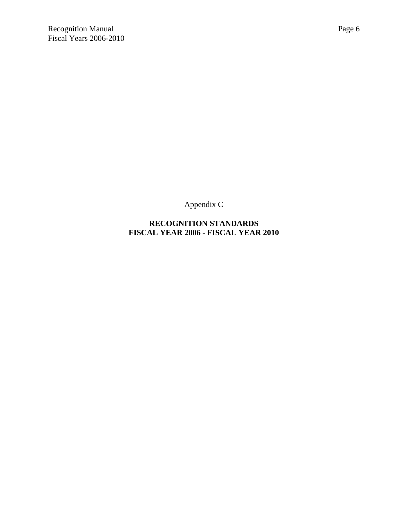Appendix C

**RECOGNITION STANDARDS FISCAL YEAR 2006 - FISCAL YEAR 2010**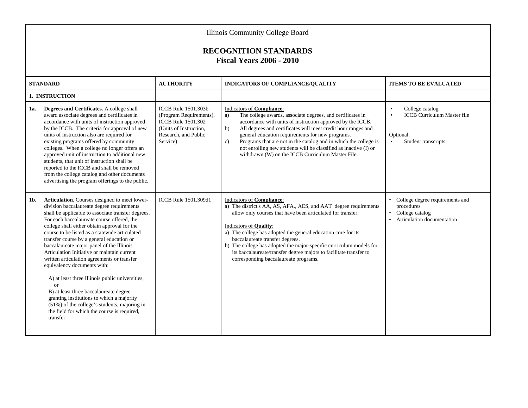|     | <b>Illinois Community College Board</b><br><b>RECOGNITION STANDARDS</b><br><b>Fiscal Years 2006 - 2010</b>                                                                                                                                                                                                                                                                                                                                                                                                                                                                                                                                                                                                                                                                               |                                                                                                                                                  |                                                                                                                                                                                                                                                                                                                                                                                                                                                                                                              |                                                                                                                     |  |
|-----|------------------------------------------------------------------------------------------------------------------------------------------------------------------------------------------------------------------------------------------------------------------------------------------------------------------------------------------------------------------------------------------------------------------------------------------------------------------------------------------------------------------------------------------------------------------------------------------------------------------------------------------------------------------------------------------------------------------------------------------------------------------------------------------|--------------------------------------------------------------------------------------------------------------------------------------------------|--------------------------------------------------------------------------------------------------------------------------------------------------------------------------------------------------------------------------------------------------------------------------------------------------------------------------------------------------------------------------------------------------------------------------------------------------------------------------------------------------------------|---------------------------------------------------------------------------------------------------------------------|--|
|     | <b>STANDARD</b>                                                                                                                                                                                                                                                                                                                                                                                                                                                                                                                                                                                                                                                                                                                                                                          | <b>AUTHORITY</b>                                                                                                                                 | INDICATORS OF COMPLIANCE/QUALITY                                                                                                                                                                                                                                                                                                                                                                                                                                                                             | <b>ITEMS TO BE EVALUATED</b>                                                                                        |  |
| 1a. | 1. INSTRUCTION<br>Degrees and Certificates. A college shall<br>award associate degrees and certificates in<br>accordance with units of instruction approved<br>by the ICCB. The criteria for approval of new<br>units of instruction also are required for<br>existing programs offered by community<br>colleges. When a college no longer offers an<br>approved unit of instruction to additional new<br>students, that unit of instruction shall be<br>reported to the ICCB and shall be removed<br>from the college catalog and other documents<br>advertising the program offerings to the public.                                                                                                                                                                                   | <b>ICCB</b> Rule 1501.303b<br>(Program Requirements),<br><b>ICCB</b> Rule 1501.302<br>(Units of Instruction.<br>Research, and Public<br>Service) | <b>Indicators of Compliance:</b><br>The college awards, associate degrees, and certificates in<br>a)<br>accordance with units of instruction approved by the ICCB.<br>b)<br>All degrees and certificates will meet credit hour ranges and<br>general education requirements for new programs.<br>Programs that are not in the catalog and in which the college is<br>$\mathbf{c}$ )<br>not enrolling new students will be classified as inactive (I) or<br>withdrawn (W) on the ICCB Curriculum Master File. | College catalog<br>$\bullet$<br><b>ICCB</b> Curriculum Master file<br>$\bullet$<br>Optional:<br>Student transcripts |  |
| 1b. | Articulation. Courses designed to meet lower-<br>division baccalaureate degree requirements<br>shall be applicable to associate transfer degrees.<br>For each baccalaureate course offered, the<br>college shall either obtain approval for the<br>course to be listed as a statewide articulated<br>transfer course by a general education or<br>baccalaureate major panel of the Illinois<br>Articulation Initiative or maintain current<br>written articulation agreements or transfer<br>equivalency documents with:<br>A) at least three Illinois public universities,<br>or<br>B) at least three baccalaureate degree-<br>granting institutions to which a majority<br>$(51\%)$ of the college's students, majoring in<br>the field for which the course is required,<br>transfer. | ICCB Rule 1501.309d1                                                                                                                             | <b>Indicators of Compliance:</b><br>a) The district's AA, AS, AFA., AES, and AAT degree requirements<br>allow only courses that have been articulated for transfer.<br>Indicators of <b>Quality</b> :<br>a) The college has adopted the general education core for its<br>baccalaureate transfer degrees.<br>b) The college has adopted the major-specific curriculum models for<br>its baccalaureate/transfer degree majors to facilitate transfer to<br>corresponding baccalaureate programs.              | College degree requirements and<br>procedures<br>College catalog<br>Articulation documentation                      |  |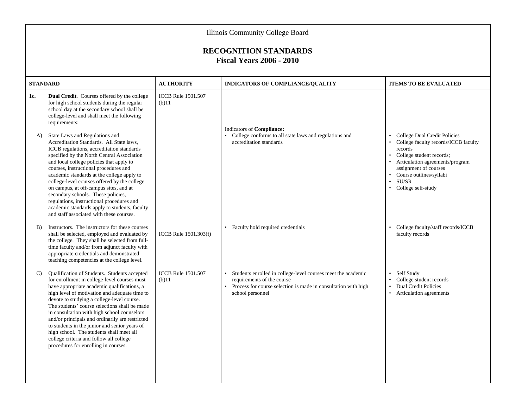|                 | Illinois Community College Board                                                                                                                                                                                                                                                                                                                                                                                                                                                                                                                                                   |                                       |                                                                                                                                                                                  |                                                                                                                                                                                                                                                    |  |
|-----------------|------------------------------------------------------------------------------------------------------------------------------------------------------------------------------------------------------------------------------------------------------------------------------------------------------------------------------------------------------------------------------------------------------------------------------------------------------------------------------------------------------------------------------------------------------------------------------------|---------------------------------------|----------------------------------------------------------------------------------------------------------------------------------------------------------------------------------|----------------------------------------------------------------------------------------------------------------------------------------------------------------------------------------------------------------------------------------------------|--|
|                 | <b>RECOGNITION STANDARDS</b><br><b>Fiscal Years 2006 - 2010</b>                                                                                                                                                                                                                                                                                                                                                                                                                                                                                                                    |                                       |                                                                                                                                                                                  |                                                                                                                                                                                                                                                    |  |
| <b>STANDARD</b> |                                                                                                                                                                                                                                                                                                                                                                                                                                                                                                                                                                                    | <b>AUTHORITY</b>                      | INDICATORS OF COMPLIANCE/QUALITY                                                                                                                                                 | <b>ITEMS TO BE EVALUATED</b>                                                                                                                                                                                                                       |  |
| 1c.             | Dual Credit. Courses offered by the college<br>for high school students during the regular<br>school day at the secondary school shall be<br>college-level and shall meet the following<br>requirements:                                                                                                                                                                                                                                                                                                                                                                           | <b>ICCB</b> Rule 1501.507<br>(b)11    | Indicators of Compliance:                                                                                                                                                        |                                                                                                                                                                                                                                                    |  |
| A)              | State Laws and Regulations and<br>Accreditation Standards. All State laws,<br>ICCB regulations, accreditation standards<br>specified by the North Central Association<br>and local college policies that apply to<br>courses, instructional procedures and<br>academic standards at the college apply to<br>college-level courses offered by the college<br>on campus, at off-campus sites, and at<br>secondary schools. These policies,<br>regulations, instructional procedures and<br>academic standards apply to students, faculty<br>and staff associated with these courses. |                                       | • College conforms to all state laws and regulations and<br>accreditation standards                                                                                              | College Dual Credit Policies<br>$\bullet$<br>College faculty records/ICCB faculty<br>records<br>• College student records;<br>Articulation agreements/program<br>assignment of courses<br>Course outlines/syllabi<br>SU/SR<br>• College self-study |  |
| B)              | Instructors. The instructors for these courses<br>shall be selected, employed and evaluated by<br>the college. They shall be selected from full-<br>time faculty and/or from adjunct faculty with<br>appropriate credentials and demonstrated<br>teaching competencies at the college level.                                                                                                                                                                                                                                                                                       | ICCB Rule 1501.303(f)                 | • Faculty hold required credentials                                                                                                                                              | College faculty/staff records/ICCB<br>faculty records                                                                                                                                                                                              |  |
| C)              | Qualification of Students. Students accepted<br>for enrollment in college-level courses must<br>have appropriate academic qualifications, a<br>high level of motivation and adequate time to<br>devote to studying a college-level course.<br>The students' course selections shall be made<br>in consultation with high school counselors<br>and/or principals and ordinarily are restricted<br>to students in the junior and senior years of<br>high school. The students shall meet all<br>college criteria and follow all college<br>procedures for enrolling in courses.      | <b>ICCB</b> Rule 1501.507<br>$(b)$ 11 | Students enrolled in college-level courses meet the academic<br>requirements of the course<br>Process for course selection is made in consultation with high<br>school personnel | Self Study<br>College student records<br>$\bullet$<br><b>Dual Credit Policies</b><br>Articulation agreements                                                                                                                                       |  |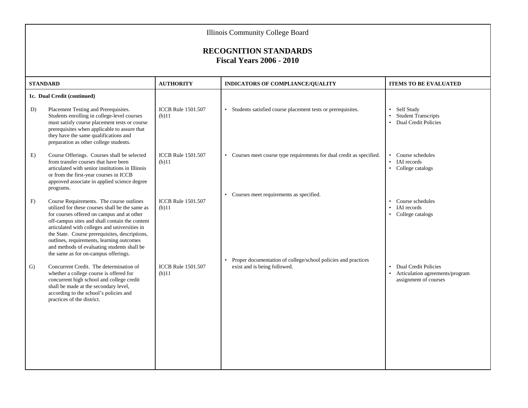|                 | <b>Illinois Community College Board</b>                                                                                                                                                                                                                                                                                                                                                                                            |                                       |                                                                                               |                                                                                                                   |  |  |
|-----------------|------------------------------------------------------------------------------------------------------------------------------------------------------------------------------------------------------------------------------------------------------------------------------------------------------------------------------------------------------------------------------------------------------------------------------------|---------------------------------------|-----------------------------------------------------------------------------------------------|-------------------------------------------------------------------------------------------------------------------|--|--|
|                 | <b>RECOGNITION STANDARDS</b><br><b>Fiscal Years 2006 - 2010</b>                                                                                                                                                                                                                                                                                                                                                                    |                                       |                                                                                               |                                                                                                                   |  |  |
| <b>STANDARD</b> |                                                                                                                                                                                                                                                                                                                                                                                                                                    | <b>AUTHORITY</b>                      | INDICATORS OF COMPLIANCE/QUALITY                                                              | <b>ITEMS TO BE EVALUATED</b>                                                                                      |  |  |
|                 | 1c. Dual Credit (continued)                                                                                                                                                                                                                                                                                                                                                                                                        |                                       |                                                                                               |                                                                                                                   |  |  |
| D)              | Placement Testing and Prerequisites.<br>Students enrolling in college-level courses<br>must satisfy course placement tests or course<br>prerequisites when applicable to assure that<br>they have the same qualifications and<br>preparation as other college students.                                                                                                                                                            | <b>ICCB</b> Rule 1501.507<br>$(b)$ 11 | • Students satisfied course placement tests or prerequisites.                                 | Self Study<br>$\bullet$<br><b>Student Transcripts</b><br>Dual Credit Policies<br>$\bullet$                        |  |  |
| E)              | Course Offerings. Courses shall be selected<br>from transfer courses that have been<br>articulated with senior institutions in Illinois<br>or from the first-year courses in ICCB<br>approved associate in applied science degree<br>programs.                                                                                                                                                                                     | <b>ICCB</b> Rule 1501.507<br>$(b)$ 11 | • Courses meet course type requirements for dual credit as specified.                         | Course schedules<br>$\bullet$<br><b>IAI</b> records<br>$\bullet$<br>College catalogs<br>$\bullet$                 |  |  |
| F)              | Course Requirements. The course outlines<br>utilized for these courses shall be the same as<br>for courses offered on campus and at other<br>off-campus sites and shall contain the content<br>articulated with colleges and universities in<br>the State. Course prerequisites, descriptions,<br>outlines, requirements, learning outcomes<br>and methods of evaluating students shall be<br>the same as for on-campus offerings. | <b>ICCB</b> Rule 1501.507<br>$(b)$ 11 | • Courses meet requirements as specified.                                                     | Course schedules<br>IAI records<br>College catalogs<br>$\bullet$                                                  |  |  |
| G)              | Concurrent Credit. The determination of<br>whether a college course is offered for<br>concurrent high school and college credit<br>shall be made at the secondary level,<br>according to the school's policies and<br>practices of the district.                                                                                                                                                                                   | <b>ICCB</b> Rule 1501.507<br>(b)11    | Proper documentation of college/school policies and practices<br>exist and is being followed. | <b>Dual Credit Policies</b><br>$\bullet$<br>Articulation agreements/program<br>$\bullet$<br>assignment of courses |  |  |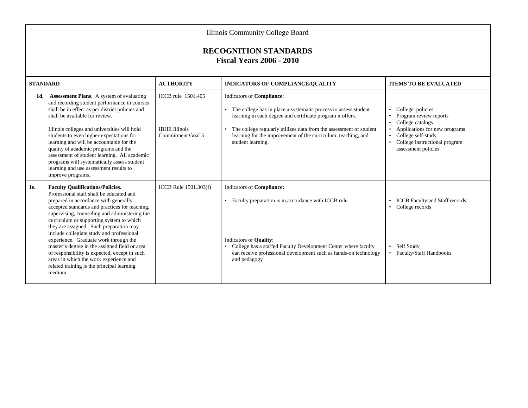|                 | Illinois Community College Board                                                                                                                                                                                                                                                                                                                                                                                                                                                                                                                                                                                  |                                                                 |                                                                                                                                                                                                                                                                                                                          |                                                                                                                                                                                                                                   |  |  |
|-----------------|-------------------------------------------------------------------------------------------------------------------------------------------------------------------------------------------------------------------------------------------------------------------------------------------------------------------------------------------------------------------------------------------------------------------------------------------------------------------------------------------------------------------------------------------------------------------------------------------------------------------|-----------------------------------------------------------------|--------------------------------------------------------------------------------------------------------------------------------------------------------------------------------------------------------------------------------------------------------------------------------------------------------------------------|-----------------------------------------------------------------------------------------------------------------------------------------------------------------------------------------------------------------------------------|--|--|
|                 | <b>RECOGNITION STANDARDS</b><br><b>Fiscal Years 2006 - 2010</b>                                                                                                                                                                                                                                                                                                                                                                                                                                                                                                                                                   |                                                                 |                                                                                                                                                                                                                                                                                                                          |                                                                                                                                                                                                                                   |  |  |
| <b>STANDARD</b> |                                                                                                                                                                                                                                                                                                                                                                                                                                                                                                                                                                                                                   | <b>AUTHORITY</b>                                                | INDICATORS OF COMPLIANCE/QUALITY                                                                                                                                                                                                                                                                                         | <b>ITEMS TO BE EVALUATED</b>                                                                                                                                                                                                      |  |  |
| 1d.             | <b>Assessment Plans.</b> A system of evaluating<br>and recording student performance in courses<br>shall be in effect as per district policies and<br>shall be available for review.<br>Illinois colleges and universities will hold<br>students to even higher expectations for<br>learning and will be accountable for the<br>quality of academic programs and the<br>assessment of student learning. All academic<br>programs will systematically assess student<br>learning and use assessment results to<br>improve programs.                                                                                | ICCB rule 1501.405<br><b>IBHE Illinois</b><br>Commitment Goal 5 | Indicators of Compliance:<br>• The college has in place a systematic process to assess student<br>learning in each degree and certificate program it offers.<br>The college regularly utilizes data from the assessment of student<br>learning for the improvement of the curriculum, teaching, and<br>student learning. | College policies<br>$\bullet$<br>Program review reports<br>College catalogs<br>$\bullet$<br>Applications for new programs<br>College self-study<br>$\bullet$<br>College instructional program<br>$\bullet$<br>assessment policies |  |  |
| <b>1e.</b>      | <b>Faculty Qualifications/Policies.</b><br>Professional staff shall be educated and<br>prepared in accordance with generally<br>accepted standards and practices for teaching,<br>supervising, counseling and administering the<br>curriculum or supporting system to which<br>they are assigned. Such preparation may<br>include collegiate study and professional<br>experience. Graduate work through the<br>master's degree in the assigned field or area<br>of responsibility is expected, except in such<br>areas in which the work experience and<br>related training is the principal learning<br>medium. | ICCB Rule 1501.303(f)                                           | Indicators of Compliance:<br>• Faculty preparation is in accordance with ICCB rule.<br>Indicators of <b>Quality</b> :<br>• College has a staffed Faculty Development Center where faculty<br>can receive professional development such as hands-on technology<br>and pedagogy.                                           | <b>ICCB</b> Faculty and Staff records<br>$\bullet$<br>• College records<br>• Self Study<br>• Faculty/Staff Handbooks                                                                                                              |  |  |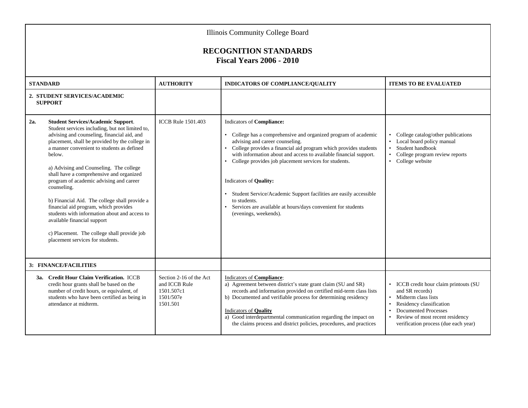|     | <b>Illinois Community College Board</b>                                                                                                                                                                                                                                                                                                                                                                                                                                                                                                                                                                                                                             |                                                                                 |                                                                                                                                                                                                                                                                                                                                                                                                                                                                                                                                                              |                                                                                                                                                                                                                                                    |
|-----|---------------------------------------------------------------------------------------------------------------------------------------------------------------------------------------------------------------------------------------------------------------------------------------------------------------------------------------------------------------------------------------------------------------------------------------------------------------------------------------------------------------------------------------------------------------------------------------------------------------------------------------------------------------------|---------------------------------------------------------------------------------|--------------------------------------------------------------------------------------------------------------------------------------------------------------------------------------------------------------------------------------------------------------------------------------------------------------------------------------------------------------------------------------------------------------------------------------------------------------------------------------------------------------------------------------------------------------|----------------------------------------------------------------------------------------------------------------------------------------------------------------------------------------------------------------------------------------------------|
|     |                                                                                                                                                                                                                                                                                                                                                                                                                                                                                                                                                                                                                                                                     |                                                                                 | <b>RECOGNITION STANDARDS</b><br><b>Fiscal Years 2006 - 2010</b>                                                                                                                                                                                                                                                                                                                                                                                                                                                                                              |                                                                                                                                                                                                                                                    |
|     | <b>STANDARD</b>                                                                                                                                                                                                                                                                                                                                                                                                                                                                                                                                                                                                                                                     | <b>AUTHORITY</b>                                                                | INDICATORS OF COMPLIANCE/QUALITY                                                                                                                                                                                                                                                                                                                                                                                                                                                                                                                             | <b>ITEMS TO BE EVALUATED</b>                                                                                                                                                                                                                       |
|     | 2. STUDENT SERVICES/ACADEMIC<br><b>SUPPORT</b>                                                                                                                                                                                                                                                                                                                                                                                                                                                                                                                                                                                                                      |                                                                                 |                                                                                                                                                                                                                                                                                                                                                                                                                                                                                                                                                              |                                                                                                                                                                                                                                                    |
| 2a. | <b>Student Services/Academic Support.</b><br>Student services including, but not limited to,<br>advising and counseling, financial aid, and<br>placement, shall be provided by the college in<br>a manner convenient to students as defined<br>below.<br>a) Advising and Counseling. The college<br>shall have a comprehensive and organized<br>program of academic advising and career<br>counseling.<br>b) Financial Aid. The college shall provide a<br>financial aid program, which provides<br>students with information about and access to<br>available financial support<br>c) Placement. The college shall provide job<br>placement services for students. | <b>ICCB Rule 1501.403</b>                                                       | Indicators of Compliance:<br>• College has a comprehensive and organized program of academic<br>advising and career counseling.<br>• College provides a financial aid program which provides students<br>with information about and access to available financial support.<br>• College provides job placement services for students.<br>Indicators of Quality:<br>• Student Service/Academic Support facilities are easily accessible<br>to students.<br>Services are available at hours/days convenient for students<br>$\bullet$<br>(evenings, weekends). | College catalog/other publications<br>• Local board policy manual<br>Student handbook<br>College program review reports<br>$\bullet$<br>• College website                                                                                          |
|     | 3: FINANCE/FACILITIES                                                                                                                                                                                                                                                                                                                                                                                                                                                                                                                                                                                                                                               |                                                                                 |                                                                                                                                                                                                                                                                                                                                                                                                                                                                                                                                                              |                                                                                                                                                                                                                                                    |
|     | 3a. Credit Hour Claim Verification. ICCB<br>credit hour grants shall be based on the<br>number of credit hours, or equivalent, of<br>students who have been certified as being in<br>attendance at midterm.                                                                                                                                                                                                                                                                                                                                                                                                                                                         | Section 2-16 of the Act<br>and ICCB Rule<br>1501.507c1<br>1501/507e<br>1501.501 | Indicators of Compliance:<br>a) Agreement between district's state grant claim (SU and SR)<br>records and information provided on certified mid-term class lists<br>b) Documented and verifiable process for determining residency<br>Indicators of Quality<br>a) Good interdepartmental communication regarding the impact on<br>the claims process and district policies, procedures, and practices                                                                                                                                                        | • ICCB credit hour claim printouts (SU<br>and SR records)<br>• Midterm class lists<br>Residency classification<br>$\bullet$<br><b>Documented Processes</b><br>$\bullet$<br>Review of most recent residency<br>verification process (due each year) |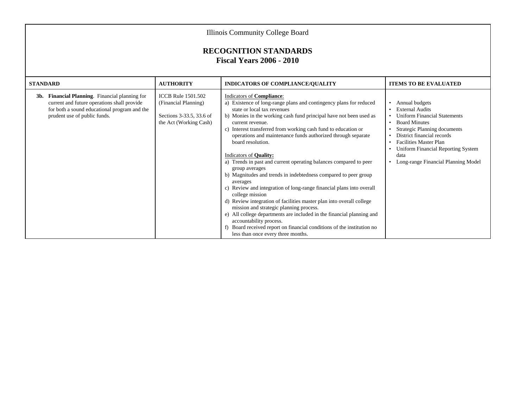| Illinois Community College Board<br><b>RECOGNITION STANDARDS</b><br><b>Fiscal Years 2006 - 2010</b>                                                                              |                                                                                                         |                                                                                                                                                                                                                                                                                                                                                                                                                                                                                                                                                                                                                                                                                                                                                                                                                                                                                                                                                                                                                          |                                                                                                                                                                                                                                                                                                              |  |
|----------------------------------------------------------------------------------------------------------------------------------------------------------------------------------|---------------------------------------------------------------------------------------------------------|--------------------------------------------------------------------------------------------------------------------------------------------------------------------------------------------------------------------------------------------------------------------------------------------------------------------------------------------------------------------------------------------------------------------------------------------------------------------------------------------------------------------------------------------------------------------------------------------------------------------------------------------------------------------------------------------------------------------------------------------------------------------------------------------------------------------------------------------------------------------------------------------------------------------------------------------------------------------------------------------------------------------------|--------------------------------------------------------------------------------------------------------------------------------------------------------------------------------------------------------------------------------------------------------------------------------------------------------------|--|
| <b>STANDARD</b>                                                                                                                                                                  | <b>AUTHORITY</b>                                                                                        | <b>INDICATORS OF COMPLIANCE/QUALITY</b>                                                                                                                                                                                                                                                                                                                                                                                                                                                                                                                                                                                                                                                                                                                                                                                                                                                                                                                                                                                  | <b>ITEMS TO BE EVALUATED</b>                                                                                                                                                                                                                                                                                 |  |
| Financial Planning. Financial planning for<br>3b.<br>current and future operations shall provide<br>for both a sound educational program and the<br>prudent use of public funds. | <b>ICCB</b> Rule 1501.502<br>(Financial Planning)<br>Sections 3-33.5, 33.6 of<br>the Act (Working Cash) | Indicators of Compliance:<br>a) Existence of long-range plans and contingency plans for reduced<br>state or local tax revenues<br>b) Monies in the working cash fund principal have not been used as<br>current revenue.<br>c) Interest transferred from working cash fund to education or<br>operations and maintenance funds authorized through separate<br>board resolution.<br>Indicators of <b>Quality:</b><br>a) Trends in past and current operating balances compared to peer<br>group averages<br>b) Magnitudes and trends in indebtedness compared to peer group<br>averages<br>c) Review and integration of long-range financial plans into overall<br>college mission<br>d) Review integration of facilities master plan into overall college<br>mission and strategic planning process.<br>e) All college departments are included in the financial planning and<br>accountability process.<br>f) Board received report on financial conditions of the institution no<br>less than once every three months. | • Annual budgets<br><b>External Audits</b><br><b>Uniform Financial Statements</b><br><b>Board Minutes</b><br>$\bullet$<br>Strategic Planning documents<br>District financial records<br><b>Facilities Master Plan</b><br>Uniform Financial Reporting System<br>data<br>• Long-range Financial Planning Model |  |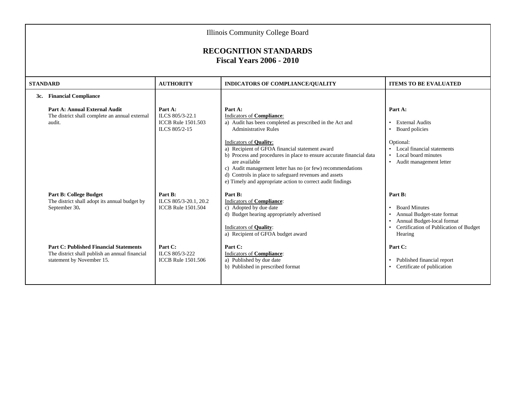|                 | Illinois Community College Board                                                                                             |                                                                          |                                                                                                                                                                                                                                                                                                                                                                                                                                                                                           |                                                                                                                                                                                           |  |
|-----------------|------------------------------------------------------------------------------------------------------------------------------|--------------------------------------------------------------------------|-------------------------------------------------------------------------------------------------------------------------------------------------------------------------------------------------------------------------------------------------------------------------------------------------------------------------------------------------------------------------------------------------------------------------------------------------------------------------------------------|-------------------------------------------------------------------------------------------------------------------------------------------------------------------------------------------|--|
|                 | <b>RECOGNITION STANDARDS</b><br><b>Fiscal Years 2006 - 2010</b>                                                              |                                                                          |                                                                                                                                                                                                                                                                                                                                                                                                                                                                                           |                                                                                                                                                                                           |  |
| <b>STANDARD</b> |                                                                                                                              | <b>AUTHORITY</b>                                                         | INDICATORS OF COMPLIANCE/QUALITY                                                                                                                                                                                                                                                                                                                                                                                                                                                          | <b>ITEMS TO BE EVALUATED</b>                                                                                                                                                              |  |
|                 | 3c. Financial Compliance                                                                                                     |                                                                          |                                                                                                                                                                                                                                                                                                                                                                                                                                                                                           |                                                                                                                                                                                           |  |
|                 | Part A: Annual External Audit<br>The district shall complete an annual external<br>audit.                                    | Part A:<br>ILCS 805/3-22.1<br><b>ICCB Rule 1501.503</b><br>ILCS 805/2-15 | Part A:<br>Indicators of Compliance:<br>a) Audit has been completed as prescribed in the Act and<br><b>Administrative Rules</b><br>Indicators of Quality:<br>a) Recipient of GFOA financial statement award<br>b) Process and procedures in place to ensure accurate financial data<br>are available<br>c) Audit management letter has no (or few) recommendations<br>d) Controls in place to safeguard revenues and assets<br>e) Timely and appropriate action to correct audit findings | Part A:<br>External Audits<br>$\bullet$<br>• Board policies<br>Optional:<br>• Local financial statements<br>• Local board minutes<br>• Audit management letter                            |  |
|                 | <b>Part B: College Budget</b><br>The district shall adopt its annual budget by<br>September 30.                              | Part B:<br>ILCS 805/3-20.1, 20.2<br><b>ICCB Rule 1501.504</b>            | Part B:<br><b>Indicators of Compliance:</b><br>c) Adopted by due date<br>d) Budget hearing appropriately advertised<br>Indicators of Quality:<br>a) Recipient of GFOA budget award                                                                                                                                                                                                                                                                                                        | Part B:<br><b>Board Minutes</b><br>$\bullet$<br>Annual Budget-state format<br>$\bullet$<br>Annual Budget-local format<br>$\bullet$<br>• Certification of Publication of Budget<br>Hearing |  |
|                 | <b>Part C: Published Financial Statements</b><br>The district shall publish an annual financial<br>statement by November 15. | Part C:<br>ILCS 805/3-222<br><b>ICCB Rule 1501.506</b>                   | Part C:<br>Indicators of Compliance:<br>a) Published by due date<br>b) Published in prescribed format                                                                                                                                                                                                                                                                                                                                                                                     | Part C:<br>Published financial report<br>• Certificate of publication                                                                                                                     |  |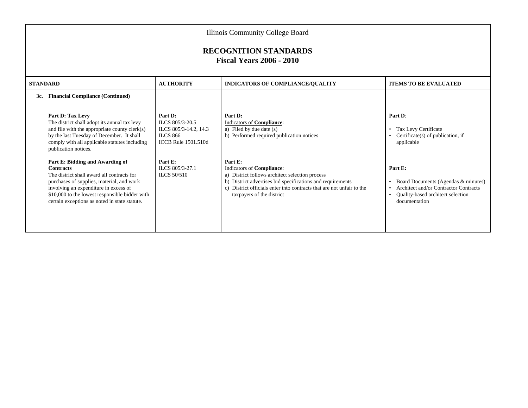|     | Illinois Community College Board<br><b>RECOGNITION STANDARDS</b><br><b>Fiscal Years 2006 - 2010</b>                                                                                                                                                                                        |                                                                                                      |                                                                                                                                                                                                                                                             |                                                                                                                                                                         |  |
|-----|--------------------------------------------------------------------------------------------------------------------------------------------------------------------------------------------------------------------------------------------------------------------------------------------|------------------------------------------------------------------------------------------------------|-------------------------------------------------------------------------------------------------------------------------------------------------------------------------------------------------------------------------------------------------------------|-------------------------------------------------------------------------------------------------------------------------------------------------------------------------|--|
|     | <b>STANDARD</b>                                                                                                                                                                                                                                                                            | <b>AUTHORITY</b>                                                                                     | <b>INDICATORS OF COMPLIANCE/QUALITY</b>                                                                                                                                                                                                                     | <b>ITEMS TO BE EVALUATED</b>                                                                                                                                            |  |
| 3c. | <b>Financial Compliance (Continued)</b>                                                                                                                                                                                                                                                    |                                                                                                      |                                                                                                                                                                                                                                                             |                                                                                                                                                                         |  |
|     | Part D: Tax Levy<br>The district shall adopt its annual tax levy<br>and file with the appropriate county clerk(s)<br>by the last Tuesday of December. It shall<br>comply with all applicable statutes including<br>publication notices.                                                    | Part D:<br>ILCS 805/3-20.5<br>ILCS 805/3-14.2, 14.3<br><b>ILCS 866</b><br><b>ICCB</b> Rule 1501.510d | Part D:<br>Indicators of Compliance:<br>a) Filed by due date (s)<br>b) Performed required publication notices                                                                                                                                               | Part D:<br>Tax Levy Certificate<br>$\bullet$<br>Certificate(s) of publication, if<br>applicable                                                                         |  |
|     | Part E: Bidding and Awarding of<br><b>Contracts</b><br>The district shall award all contracts for<br>purchases of supplies, material, and work<br>involving an expenditure in excess of<br>\$10,000 to the lowest responsible bidder with<br>certain exceptions as noted in state statute. | Part E:<br>ILCS 805/3-27.1<br>ILCS 50/510                                                            | Part E:<br>Indicators of Compliance:<br>a) District follows architect selection process<br>b) District advertises bid specifications and requirements<br>c) District officials enter into contracts that are not unfair to the<br>taxpayers of the district | Part E:<br>Board Documents (Agendas & minutes)<br>Architect and/or Contractor Contracts<br>$\bullet$<br>Quality-based architect selection<br>$\bullet$<br>documentation |  |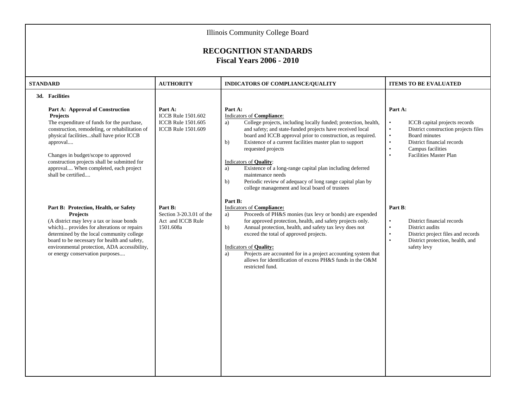| Illinois Community College Board<br><b>RECOGNITION STANDARDS</b><br><b>Fiscal Years 2006 - 2010</b>                                                                                                                                                                                                                                                                          |                                                                                                |                                                                                                                                                                                                                                                                                                                                                                                                                                                                                                                                                                                 |                                                                                                                                                                                                                                                                     |  |
|------------------------------------------------------------------------------------------------------------------------------------------------------------------------------------------------------------------------------------------------------------------------------------------------------------------------------------------------------------------------------|------------------------------------------------------------------------------------------------|---------------------------------------------------------------------------------------------------------------------------------------------------------------------------------------------------------------------------------------------------------------------------------------------------------------------------------------------------------------------------------------------------------------------------------------------------------------------------------------------------------------------------------------------------------------------------------|---------------------------------------------------------------------------------------------------------------------------------------------------------------------------------------------------------------------------------------------------------------------|--|
| <b>STANDARD</b>                                                                                                                                                                                                                                                                                                                                                              | <b>AUTHORITY</b>                                                                               | INDICATORS OF COMPLIANCE/QUALITY                                                                                                                                                                                                                                                                                                                                                                                                                                                                                                                                                | <b>ITEMS TO BE EVALUATED</b>                                                                                                                                                                                                                                        |  |
| 3d. Facilities<br>Part A: Approval of Construction<br>Projects<br>The expenditure of funds for the purchase,<br>construction, remodeling, or rehabilitation of<br>physical facilitiesshall have prior ICCB<br>approval<br>Changes in budget/scope to approved<br>construction projects shall be submitted for<br>approval When completed, each project<br>shall be certified | Part A:<br><b>ICCB</b> Rule 1501.602<br><b>ICCB</b> Rule 1501.605<br><b>ICCB Rule 1501.609</b> | Part A:<br><b>Indicators of Compliance:</b><br>College projects, including locally funded; protection, health,<br>a)<br>and safety; and state-funded projects have received local<br>board and ICCB approval prior to construction, as required.<br>Existence of a current facilities master plan to support<br>b)<br>requested projects<br>Indicators of Quality:<br>Existence of a long-range capital plan including deferred<br>a)<br>maintenance needs<br>Periodic review of adequacy of long range capital plan by<br>b)<br>college management and local board of trustees | Part A:<br>ICCB capital projects records<br>$\bullet$<br>District construction projects files<br>$\bullet$<br>Board minutes<br>$\bullet$<br>District financial records<br>$\bullet$<br>Campus facilities<br>$\bullet$<br><b>Facilities Master Plan</b><br>$\bullet$ |  |
| Part B: Protection, Health, or Safety<br><b>Projects</b><br>(A district may levy a tax or issue bonds<br>which) provides for alterations or repairs<br>determined by the local community college<br>board to be necessary for health and safety,<br>environmental protection, ADA accessibility,<br>or energy conservation purposes                                          | Part B:<br>Section 3-20.3.01 of the<br>Act and ICCB Rule<br>1501.608a                          | Part B:<br>Indicators of Compliance:<br>Proceeds of PH&S monies (tax levy or bonds) are expended<br>a)<br>for approved protection, health, and safety projects only.<br>Annual protection, health, and safety tax levy does not<br>b)<br>exceed the total of approved projects.<br>Indicators of Quality:<br>Projects are accounted for in a project accounting system that<br>a)<br>allows for identification of excess PH&S funds in the O&M<br>restricted fund.                                                                                                              | Part B:<br>$\bullet$<br>District financial records<br>District audits<br>$\bullet$<br>District project files and records<br>$\bullet$<br>District protection, health, and<br>$\bullet$<br>safety levy                                                               |  |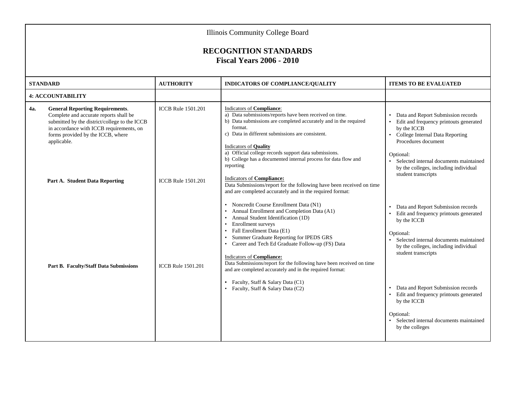|     | <b>Illinois Community College Board</b><br><b>RECOGNITION STANDARDS</b>                                                                                                                                                           |                           |                                                                                                                                                                                                                                                                                                                                                                                                                                                                                                                                                                       |                                                                                                                                                                                                                                                       |  |
|-----|-----------------------------------------------------------------------------------------------------------------------------------------------------------------------------------------------------------------------------------|---------------------------|-----------------------------------------------------------------------------------------------------------------------------------------------------------------------------------------------------------------------------------------------------------------------------------------------------------------------------------------------------------------------------------------------------------------------------------------------------------------------------------------------------------------------------------------------------------------------|-------------------------------------------------------------------------------------------------------------------------------------------------------------------------------------------------------------------------------------------------------|--|
|     |                                                                                                                                                                                                                                   |                           | <b>Fiscal Years 2006 - 2010</b>                                                                                                                                                                                                                                                                                                                                                                                                                                                                                                                                       |                                                                                                                                                                                                                                                       |  |
|     | <b>STANDARD</b>                                                                                                                                                                                                                   | <b>AUTHORITY</b>          | INDICATORS OF COMPLIANCE/QUALITY                                                                                                                                                                                                                                                                                                                                                                                                                                                                                                                                      | <b>ITEMS TO BE EVALUATED</b>                                                                                                                                                                                                                          |  |
|     | <b>4: ACCOUNTABILITY</b>                                                                                                                                                                                                          |                           |                                                                                                                                                                                                                                                                                                                                                                                                                                                                                                                                                                       |                                                                                                                                                                                                                                                       |  |
| 4a. | <b>General Reporting Requirements.</b><br>Complete and accurate reports shall be<br>submitted by the district/college to the ICCB<br>in accordance with ICCB requirements, on<br>forms provided by the ICCB, where<br>applicable. | <b>ICCB</b> Rule 1501.201 | Indicators of Compliance:<br>a) Data submissions/reports have been received on time.<br>b) Data submissions are completed accurately and in the required<br>format.<br>c) Data in different submissions are consistent.<br>Indicators of <b>Quality</b><br>a) Official college records support data submissions.<br>b) College has a documented internal process for data flow and<br>reporting                                                                                                                                                                       | Data and Report Submission records<br>Edit and frequency printouts generated<br>by the ICCB<br>College Internal Data Reporting<br>Procedures document<br>Optional:<br>Selected internal documents maintained<br>by the colleges, including individual |  |
|     | Part A. Student Data Reporting                                                                                                                                                                                                    | <b>ICCB</b> Rule 1501.201 | <b>Indicators of Compliance:</b><br>Data Submissions/report for the following have been received on time<br>and are completed accurately and in the required format:<br>• Noncredit Course Enrollment Data (N1)<br>• Annual Enrollment and Completion Data (A1)<br>• Annual Student Identification (1D)<br>• Enrollment surveys<br>• Fall Enrollment Data (E1)<br>• Summer Graduate Reporting for IPEDS GRS<br>• Career and Tech Ed Graduate Follow-up (FS) Data<br>Indicators of Compliance:<br>Data Submissions/report for the following have been received on time | student transcripts<br>Data and Report Submission records<br>Edit and frequency printouts generated<br>by the ICCB<br>Optional:<br>Selected internal documents maintained<br>by the colleges, including individual<br>student transcripts             |  |
|     | <b>Part B. Faculty/Staff Data Submissions</b>                                                                                                                                                                                     | <b>ICCB</b> Rule 1501.201 | and are completed accurately and in the required format:<br>• Faculty, Staff & Salary Data (C1)<br>• Faculty, Staff & Salary Data (C2)                                                                                                                                                                                                                                                                                                                                                                                                                                | Data and Report Submission records<br>Edit and frequency printouts generated<br>by the ICCB<br>Optional:<br>Selected internal documents maintained<br>by the colleges                                                                                 |  |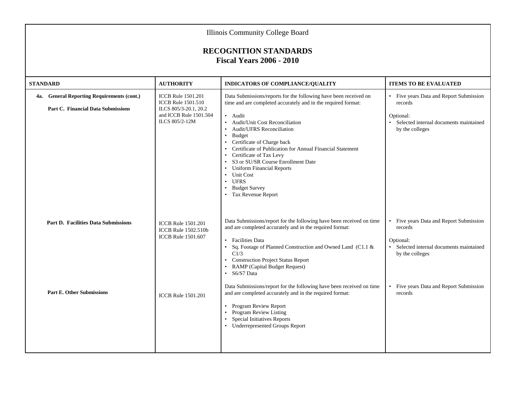| Illinois Community College Board                                                        |                                                                                                                             |                                                                                                                                                                                                                                                                                                                                                                                                                                                                                                         |                                                                                                                                |  |  |  |  |  |
|-----------------------------------------------------------------------------------------|-----------------------------------------------------------------------------------------------------------------------------|---------------------------------------------------------------------------------------------------------------------------------------------------------------------------------------------------------------------------------------------------------------------------------------------------------------------------------------------------------------------------------------------------------------------------------------------------------------------------------------------------------|--------------------------------------------------------------------------------------------------------------------------------|--|--|--|--|--|
| <b>RECOGNITION STANDARDS</b><br><b>Fiscal Years 2006 - 2010</b>                         |                                                                                                                             |                                                                                                                                                                                                                                                                                                                                                                                                                                                                                                         |                                                                                                                                |  |  |  |  |  |
| <b>STANDARD</b>                                                                         | <b>AUTHORITY</b>                                                                                                            | <b>INDICATORS OF COMPLIANCE/QUALITY</b>                                                                                                                                                                                                                                                                                                                                                                                                                                                                 | <b>ITEMS TO BE EVALUATED</b>                                                                                                   |  |  |  |  |  |
| 4a. General Reporting Requirements (cont.)<br><b>Part C. Financial Data Submissions</b> | <b>ICCB</b> Rule 1501.201<br><b>ICCB</b> Rule 1501.510<br>ILCS 805/3-20.1, 20.2<br>and ICCB Rule 1501.504<br>ILCS 805/2-12M | Data Submissions/reports for the following have been received on<br>time and are completed accurately and in the required format:<br>• Audit<br>• Audit/Unit Cost Reconciliation<br><b>Audit/UFRS Reconciliation</b><br>• Budget<br>• Certificate of Charge back<br>• Certificate of Publication for Annual Financial Statement<br>• Certificate of Tax Levy<br>• S3 or SU/SR Course Enrollment Date<br>• Uniform Financial Reports<br>• Unit Cost<br>• UFRS<br>• Budget Survey<br>• Tax Revenue Report | • Five years Data and Report Submission<br>records<br>Optional:<br>• Selected internal documents maintained<br>by the colleges |  |  |  |  |  |
| <b>Part D. Facilities Data Submissions</b>                                              | <b>ICCB</b> Rule 1501.201<br>ICCB Rule 1502.510b<br><b>ICCB</b> Rule 1501.607                                               | Data Submissions/report for the following have been received on time<br>and are completed accurately and in the required format:<br>• Facilities Data<br>Sq. Footage of Planned Construction and Owned Land (C1.1 &<br>$\bullet$<br>C1/3<br>• Construction Project Status Report<br><b>RAMP</b> (Capital Budget Request)<br>• S6/S7 Data                                                                                                                                                                | • Five years Data and Report Submission<br>records<br>Optional:<br>• Selected internal documents maintained<br>by the colleges |  |  |  |  |  |
| <b>Part E. Other Submissions</b>                                                        | <b>ICCB</b> Rule 1501.201                                                                                                   | Data Submissions/report for the following have been received on time<br>and are completed accurately and in the required format:<br>Program Review Report<br>• Program Review Listing<br>Special Initiatives Reports<br>• Underrepresented Groups Report                                                                                                                                                                                                                                                | • Five years Data and Report Submission<br>records                                                                             |  |  |  |  |  |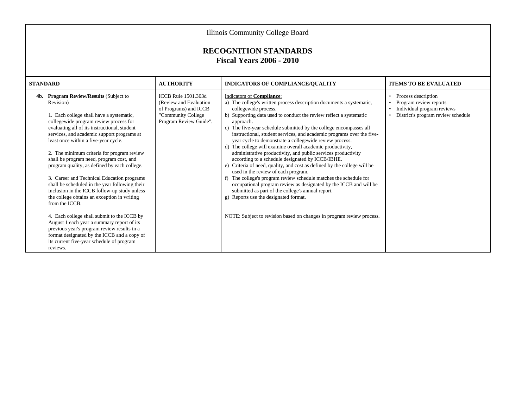| Illinois Community College Board                                                                                                                                                                                                                                                                                                                                                                                                                                                                                                                                                                                                                                                                                                                                                                                                                                                               |                                                                                                                                |                                                                                                                                                                                                                                                                                                                                                                                                                                                                                                                                                                                                                                                                                                                                                                                                                                                                                                                                                                                                                                               |                                                                                                                                             |  |  |  |  |  |  |
|------------------------------------------------------------------------------------------------------------------------------------------------------------------------------------------------------------------------------------------------------------------------------------------------------------------------------------------------------------------------------------------------------------------------------------------------------------------------------------------------------------------------------------------------------------------------------------------------------------------------------------------------------------------------------------------------------------------------------------------------------------------------------------------------------------------------------------------------------------------------------------------------|--------------------------------------------------------------------------------------------------------------------------------|-----------------------------------------------------------------------------------------------------------------------------------------------------------------------------------------------------------------------------------------------------------------------------------------------------------------------------------------------------------------------------------------------------------------------------------------------------------------------------------------------------------------------------------------------------------------------------------------------------------------------------------------------------------------------------------------------------------------------------------------------------------------------------------------------------------------------------------------------------------------------------------------------------------------------------------------------------------------------------------------------------------------------------------------------|---------------------------------------------------------------------------------------------------------------------------------------------|--|--|--|--|--|--|
| <b>RECOGNITION STANDARDS</b><br><b>Fiscal Years 2006 - 2010</b>                                                                                                                                                                                                                                                                                                                                                                                                                                                                                                                                                                                                                                                                                                                                                                                                                                |                                                                                                                                |                                                                                                                                                                                                                                                                                                                                                                                                                                                                                                                                                                                                                                                                                                                                                                                                                                                                                                                                                                                                                                               |                                                                                                                                             |  |  |  |  |  |  |
| STANDARD                                                                                                                                                                                                                                                                                                                                                                                                                                                                                                                                                                                                                                                                                                                                                                                                                                                                                       | <b>AUTHORITY</b>                                                                                                               | <b>INDICATORS OF COMPLIANCE/QUALITY</b>                                                                                                                                                                                                                                                                                                                                                                                                                                                                                                                                                                                                                                                                                                                                                                                                                                                                                                                                                                                                       | <b>ITEMS TO BE EVALUATED</b>                                                                                                                |  |  |  |  |  |  |
| 4b. Program Review/Results (Subject to<br>Revision)<br>1. Each college shall have a systematic,<br>collegewide program review process for<br>evaluating all of its instructional, student<br>services, and academic support programs at<br>least once within a five-year cycle.<br>2. The minimum criteria for program review<br>shall be program need, program cost, and<br>program quality, as defined by each college.<br>3. Career and Technical Education programs<br>shall be scheduled in the year following their<br>inclusion in the ICCB follow-up study unless<br>the college obtains an exception in writing<br>from the ICCB.<br>4. Each college shall submit to the ICCB by<br>August 1 each year a summary report of its<br>previous year's program review results in a<br>format designated by the ICCB and a copy of<br>its current five-year schedule of program<br>reviews. | <b>ICCB</b> Rule 1501.303d<br>(Review and Evaluation)<br>of Programs) and ICCB<br>"Community College<br>Program Review Guide". | Indicators of Compliance:<br>a) The college's written process description documents a systematic,<br>collegewide process.<br>b) Supporting data used to conduct the review reflect a systematic<br>approach.<br>c) The five-year schedule submitted by the college encompasses all<br>instructional, student services, and academic programs over the five-<br>year cycle to demonstrate a collegewide review process.<br>d) The college will examine overall academic productivity,<br>administrative productivity, and public services productivity<br>according to a schedule designated by ICCB/IBHE.<br>e) Criteria of need, quality, and cost as defined by the college will be<br>used in the review of each program.<br>f) The college's program review schedule matches the schedule for<br>occupational program review as designated by the ICCB and will be<br>submitted as part of the college's annual report.<br>g) Reports use the designated format.<br>NOTE: Subject to revision based on changes in program review process. | Process description<br>Program review reports<br>Individual program reviews<br>$\bullet$<br>District's program review schedule<br>$\bullet$ |  |  |  |  |  |  |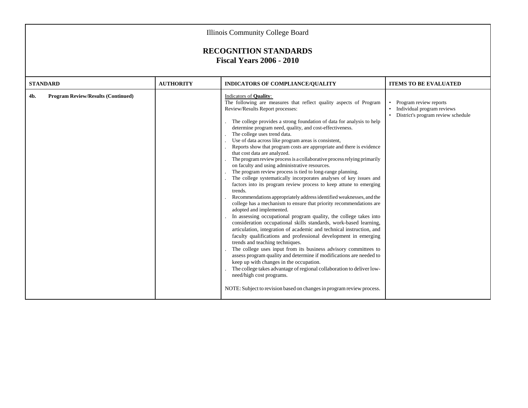| <b>Illinois Community College Board</b>                         |                  |                                                                                                                                                                                                                                                                                                                                                                                                                                                                                                                                                                                                                                                                                                                                                                                                                                                                                                                                                                                                                                                                                                                                                                                                                                                                                                                                                                                                                                                                                                                                                                                                                                                                                                        |                                                                                                |  |  |  |  |  |  |
|-----------------------------------------------------------------|------------------|--------------------------------------------------------------------------------------------------------------------------------------------------------------------------------------------------------------------------------------------------------------------------------------------------------------------------------------------------------------------------------------------------------------------------------------------------------------------------------------------------------------------------------------------------------------------------------------------------------------------------------------------------------------------------------------------------------------------------------------------------------------------------------------------------------------------------------------------------------------------------------------------------------------------------------------------------------------------------------------------------------------------------------------------------------------------------------------------------------------------------------------------------------------------------------------------------------------------------------------------------------------------------------------------------------------------------------------------------------------------------------------------------------------------------------------------------------------------------------------------------------------------------------------------------------------------------------------------------------------------------------------------------------------------------------------------------------|------------------------------------------------------------------------------------------------|--|--|--|--|--|--|
| <b>RECOGNITION STANDARDS</b><br><b>Fiscal Years 2006 - 2010</b> |                  |                                                                                                                                                                                                                                                                                                                                                                                                                                                                                                                                                                                                                                                                                                                                                                                                                                                                                                                                                                                                                                                                                                                                                                                                                                                                                                                                                                                                                                                                                                                                                                                                                                                                                                        |                                                                                                |  |  |  |  |  |  |
| <b>STANDARD</b>                                                 | <b>AUTHORITY</b> | <b>INDICATORS OF COMPLIANCE/OUALITY</b>                                                                                                                                                                                                                                                                                                                                                                                                                                                                                                                                                                                                                                                                                                                                                                                                                                                                                                                                                                                                                                                                                                                                                                                                                                                                                                                                                                                                                                                                                                                                                                                                                                                                | <b>ITEMS TO BE EVALUATED</b>                                                                   |  |  |  |  |  |  |
| <b>Program Review/Results (Continued)</b><br>4b.                |                  | Indicators of <b>Quality</b> :<br>The following are measures that reflect quality aspects of Program<br>Review/Results Report processes:<br>The college provides a strong foundation of data for analysis to help<br>determine program need, quality, and cost-effectiveness.<br>The college uses trend data.<br>Use of data across like program areas is consistent,<br>Reports show that program costs are appropriate and there is evidence<br>that cost data are analyzed.<br>The program review process is a collaborative process relying primarily<br>on faculty and using administrative resources.<br>The program review process is tied to long-range planning.<br>The college systematically incorporates analyses of key issues and<br>factors into its program review process to keep attune to emerging<br>trends.<br>Recommendations appropriately address identified weaknesses, and the<br>college has a mechanism to ensure that priority recommendations are<br>adopted and implemented.<br>In assessing occupational program quality, the college takes into<br>consideration occupational skills standards, work-based learning,<br>articulation, integration of academic and technical instruction, and<br>faculty qualifications and professional development in emerging<br>trends and teaching techniques.<br>The college uses input from its business advisory committees to<br>assess program quality and determine if modifications are needed to<br>keep up with changes in the occupation.<br>The college takes advantage of regional collaboration to deliver low-<br>need/high cost programs.<br>NOTE: Subject to revision based on changes in program review process. | • Program review reports<br>Individual program reviews<br>· District's program review schedule |  |  |  |  |  |  |
|                                                                 |                  |                                                                                                                                                                                                                                                                                                                                                                                                                                                                                                                                                                                                                                                                                                                                                                                                                                                                                                                                                                                                                                                                                                                                                                                                                                                                                                                                                                                                                                                                                                                                                                                                                                                                                                        |                                                                                                |  |  |  |  |  |  |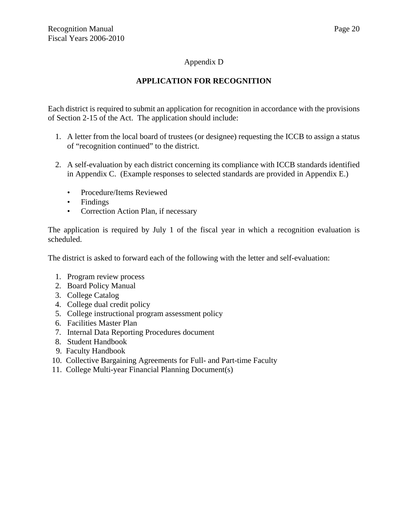# Appendix D

# **APPLICATION FOR RECOGNITION**

Each district is required to submit an application for recognition in accordance with the provisions of Section 2-15 of the Act. The application should include:

- 1. A letter from the local board of trustees (or designee) requesting the ICCB to assign a status of "recognition continued" to the district.
- 2. A self-evaluation by each district concerning its compliance with ICCB standards identified in Appendix C. (Example responses to selected standards are provided in Appendix E.)
	- Procedure/Items Reviewed
	- Findings
	- Correction Action Plan, if necessary

The application is required by July 1 of the fiscal year in which a recognition evaluation is scheduled.

The district is asked to forward each of the following with the letter and self-evaluation:

- 1. Program review process
- 2. Board Policy Manual
- 3. College Catalog
- 4. College dual credit policy
- 5. College instructional program assessment policy
- 6. Facilities Master Plan
- 7. Internal Data Reporting Procedures document
- 8. Student Handbook
- 9. Faculty Handbook
- 10. Collective Bargaining Agreements for Full- and Part-time Faculty
- 11. College Multi-year Financial Planning Document(s)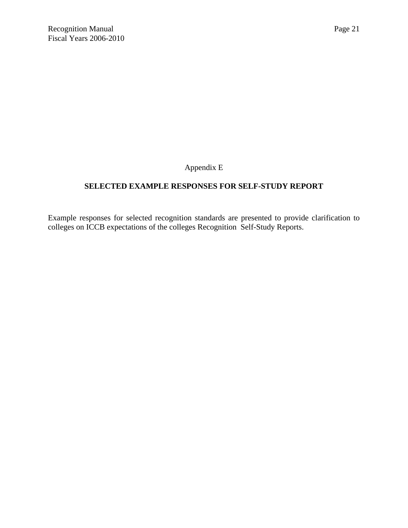Appendix E

# **SELECTED EXAMPLE RESPONSES FOR SELF-STUDY REPORT**

Example responses for selected recognition standards are presented to provide clarification to colleges on ICCB expectations of the colleges Recognition Self-Study Reports.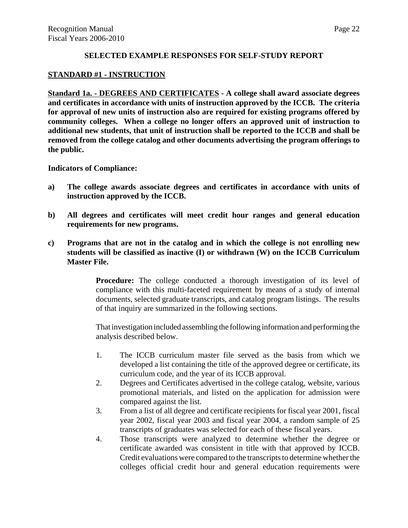## **SELECTED EXAMPLE RESPONSES FOR SELF-STUDY REPORT**

#### **STANDARD #1 - INSTRUCTION**

**Standard 1a. - DEGREES AND CERTIFICATES - A college shall award associate degrees and certificates in accordance with units of instruction approved by the ICCB. The criteria for approval of new units of instruction also are required for existing programs offered by community colleges. When a college no longer offers an approved unit of instruction to additional new students, that unit of instruction shall be reported to the ICCB and shall be removed from the college catalog and other documents advertising the program offerings to the public.**

**Indicators of Compliance:**

- **a) The college awards associate degrees and certificates in accordance with units of instruction approved by the ICCB.**
- **b) All degrees and certificates will meet credit hour ranges and general education requirements for new programs.**
- **c) Programs that are not in the catalog and in which the college is not enrolling new students will be classified as inactive (I) or withdrawn (W) on the ICCB Curriculum Master File.**

**Procedure:** The college conducted a thorough investigation of its level of compliance with this multi-faceted requirement by means of a study of internal documents, selected graduate transcripts, and catalog program listings. The results of that inquiry are summarized in the following sections.

That investigation included assembling the following information and performing the analysis described below.

- 1. The ICCB curriculum master file served as the basis from which we developed a list containing the title of the approved degree or certificate, its curriculum code, and the year of its ICCB approval.
- 2. Degrees and Certificates advertised in the college catalog, website, various promotional materials, and listed on the application for admission were compared against the list.
- 3. From a list of all degree and certificate recipients for fiscal year 2001, fiscal year 2002, fiscal year 2003 and fiscal year 2004, a random sample of 25 transcripts of graduates was selected for each of these fiscal years.
- 4. Those transcripts were analyzed to determine whether the degree or certificate awarded was consistent in title with that approved by ICCB. Credit evaluations were compared to the transcripts to determine whether the colleges official credit hour and general education requirements were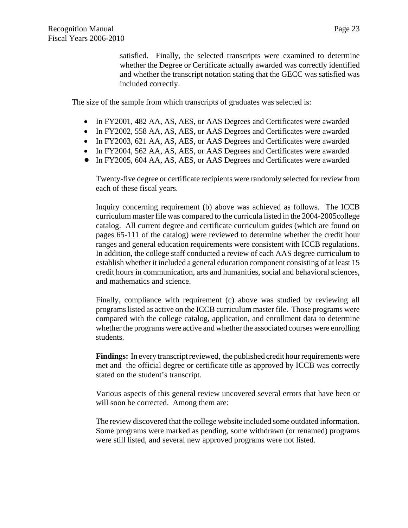Page 23

satisfied. Finally, the selected transcripts were examined to determine whether the Degree or Certificate actually awarded was correctly identified and whether the transcript notation stating that the GECC was satisfied was included correctly.

The size of the sample from which transcripts of graduates was selected is:

- In FY2001, 482 AA, AS, AES, or AAS Degrees and Certificates were awarded
- In FY2002, 558 AA, AS, AES, or AAS Degrees and Certificates were awarded
- In FY2003, 621 AA, AS, AES, or AAS Degrees and Certificates were awarded
- In FY2004, 562 AA, AS, AES, or AAS Degrees and Certificates were awarded
- In FY2005, 604 AA, AS, AES, or AAS Degrees and Certificates were awarded

Twenty-five degree or certificate recipients were randomly selected for review from each of these fiscal years.

Inquiry concerning requirement (b) above was achieved as follows. The ICCB curriculum master file was compared to the curricula listed in the 2004-2005college catalog. All current degree and certificate curriculum guides (which are found on pages 65-111 of the catalog) were reviewed to determine whether the credit hour ranges and general education requirements were consistent with ICCB regulations. In addition, the college staff conducted a review of each AAS degree curriculum to establish whether it included a general education component consisting of at least 15 credit hours in communication, arts and humanities, social and behavioral sciences, and mathematics and science.

Finally, compliance with requirement (c) above was studied by reviewing all programs listed as active on the ICCB curriculum master file. Those programs were compared with the college catalog, application, and enrollment data to determine whether the programs were active and whether the associated courses were enrolling students.

**Findings:** In every transcript reviewed, the published credit hour requirements were met and the official degree or certificate title as approved by ICCB was correctly stated on the student's transcript.

Various aspects of this general review uncovered several errors that have been or will soon be corrected. Among them are:

The review discovered that the college website included some outdated information. Some programs were marked as pending, some withdrawn (or renamed) programs were still listed, and several new approved programs were not listed.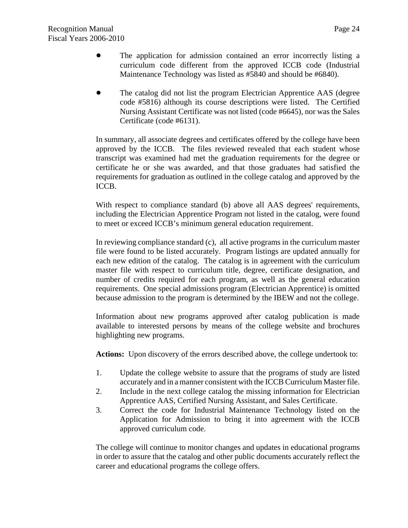- The application for admission contained an error incorrectly listing a curriculum code different from the approved ICCB code (Industrial Maintenance Technology was listed as #5840 and should be #6840).
- ! The catalog did not list the program Electrician Apprentice AAS (degree code #5816) although its course descriptions were listed. The Certified Nursing Assistant Certificate was not listed (code #6645), nor was the Sales Certificate (code #6131).

In summary, all associate degrees and certificates offered by the college have been approved by the ICCB. The files reviewed revealed that each student whose transcript was examined had met the graduation requirements for the degree or certificate he or she was awarded, and that those graduates had satisfied the requirements for graduation as outlined in the college catalog and approved by the ICCB.

With respect to compliance standard (b) above all AAS degrees' requirements, including the Electrician Apprentice Program not listed in the catalog, were found to meet or exceed ICCB's minimum general education requirement.

In reviewing compliance standard (c), all active programs in the curriculum master file were found to be listed accurately. Program listings are updated annually for each new edition of the catalog. The catalog is in agreement with the curriculum master file with respect to curriculum title, degree, certificate designation, and number of credits required for each program, as well as the general education requirements. One special admissions program (Electrician Apprentice) is omitted because admission to the program is determined by the IBEW and not the college.

Information about new programs approved after catalog publication is made available to interested persons by means of the college website and brochures highlighting new programs.

**Actions:** Upon discovery of the errors described above, the college undertook to:

- 1. Update the college website to assure that the programs of study are listed accurately and in a manner consistent with the ICCB Curriculum Master file.
- 2. Include in the next college catalog the missing information for Electrician Apprentice AAS, Certified Nursing Assistant, and Sales Certificate.
- 3. Correct the code for Industrial Maintenance Technology listed on the Application for Admission to bring it into agreement with the ICCB approved curriculum code.

The college will continue to monitor changes and updates in educational programs in order to assure that the catalog and other public documents accurately reflect the career and educational programs the college offers.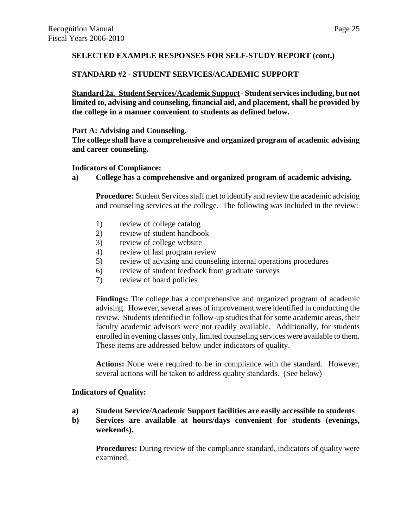# **SELECTED EXAMPLE RESPONSES FOR SELF-STUDY REPORT (cont.)**

## **STANDARD #2 - STUDENT SERVICES/ACADEMIC SUPPORT**

**Standard 2a. Student Services/Academic Support - Student services including, but not limited to, advising and counseling, financial aid, and placement, shall be provided by the college in a manner convenient to students as defined below.**

## **Part A: Advising and Counseling.**

**The college shall have a comprehensive and organized program of academic advising and career counseling.**

## **Indicators of Compliance:**

**a) College has a comprehensive and organized program of academic advising.**

**Procedure:** Student Services staff met to identify and review the academic advising and counseling services at the college. The following was included in the review:

- 1) review of college catalog
- 2) review of student handbook
- 3) review of college website
- 4) review of last program review
- 5) review of advising and counseling internal operations procedures
- 6) review of student feedback from graduate surveys
- 7) review of board policies

**Findings:** The college has a comprehensive and organized program of academic advising. However, several areas of improvement were identified in conducting the review. Students identified in follow-up studies that for some academic areas, their faculty academic advisors were not readily available. Additionally, for students enrolled in evening classes only, limited counseling services were available to them. These items are addressed below under indicators of quality.

**Actions:** None were required to be in compliance with the standard. However, several actions will be taken to address quality standards. (See below)

## **Indicators of Quality:**

- **a) Student Service/Academic Support facilities are easily accessible to students**
- **b) Services are available at hours/days convenient for students (evenings, weekends).**

**Procedures:** During review of the compliance standard, indicators of quality were examined.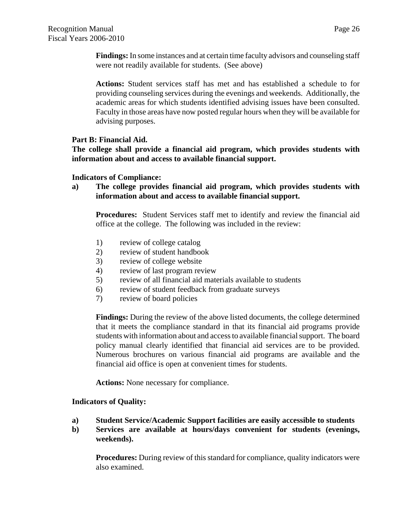**Findings:** In some instances and at certain time faculty advisors and counseling staff were not readily available for students. (See above)

**Actions:** Student services staff has met and has established a schedule to for providing counseling services during the evenings and weekends. Additionally, the academic areas for which students identified advising issues have been consulted. Faculty in those areas have now posted regular hours when they will be available for advising purposes.

# **Part B: Financial Aid.**

**The college shall provide a financial aid program, which provides students with information about and access to available financial support.**

# **Indicators of Compliance:**

**a) The college provides financial aid program, which provides students with information about and access to available financial support.**

**Procedures:** Student Services staff met to identify and review the financial aid office at the college. The following was included in the review:

- 1) review of college catalog
- 2) review of student handbook
- 3) review of college website
- 4) review of last program review
- 5) review of all financial aid materials available to students
- 6) review of student feedback from graduate surveys
- 7) review of board policies

**Findings:** During the review of the above listed documents, the college determined that it meets the compliance standard in that its financial aid programs provide students with information about and access to available financial support. The board policy manual clearly identified that financial aid services are to be provided. Numerous brochures on various financial aid programs are available and the financial aid office is open at convenient times for students.

**Actions:** None necessary for compliance.

# **Indicators of Quality:**

- **a) Student Service/Academic Support facilities are easily accessible to students**
- **b) Services are available at hours/days convenient for students (evenings, weekends).**

**Procedures:** During review of this standard for compliance, quality indicators were also examined.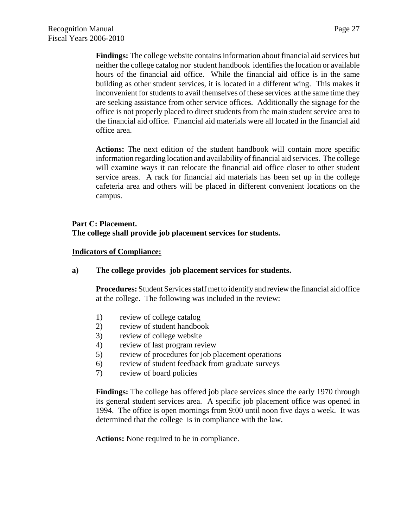**Findings:** The college website contains information about financial aid services but neither the college catalog nor student handbook identifies the location or available hours of the financial aid office. While the financial aid office is in the same building as other student services, it is located in a different wing. This makes it inconvenient for students to avail themselves of these services at the same time they are seeking assistance from other service offices. Additionally the signage for the office is not properly placed to direct students from the main student service area to the financial aid office. Financial aid materials were all located in the financial aid office area.

**Actions:** The next edition of the student handbook will contain more specific information regarding location and availability of financial aid services. The college will examine ways it can relocate the financial aid office closer to other student service areas. A rack for financial aid materials has been set up in the college cafeteria area and others will be placed in different convenient locations on the campus.

#### **Part C: Placement.**

**The college shall provide job placement services for students.**

#### **Indicators of Compliance:**

## **a) The college provides job placement services for students.**

**Procedures:** Student Services staff met to identify and review the financial aid office at the college. The following was included in the review:

- 1) review of college catalog
- 2) review of student handbook
- 3) review of college website
- 4) review of last program review
- 5) review of procedures for job placement operations
- 6) review of student feedback from graduate surveys
- 7) review of board policies

**Findings:** The college has offered job place services since the early 1970 through its general student services area. A specific job placement office was opened in 1994. The office is open mornings from 9:00 until noon five days a week. It was determined that the college is in compliance with the law.

**Actions:** None required to be in compliance.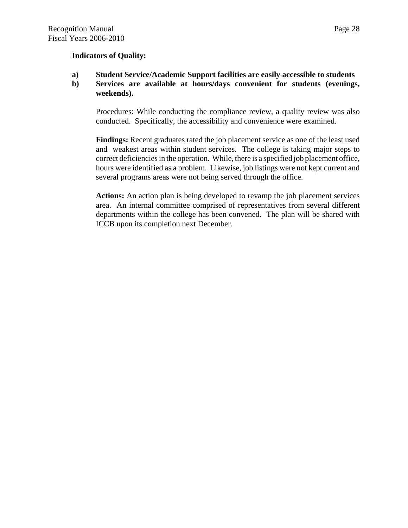#### **Indicators of Quality:**

## **a) Student Service/Academic Support facilities are easily accessible to students**

# **b) Services are available at hours/days convenient for students (evenings, weekends).**

Procedures: While conducting the compliance review, a quality review was also conducted. Specifically, the accessibility and convenience were examined.

**Findings:** Recent graduates rated the job placement service as one of the least used and weakest areas within student services. The college is taking major steps to correct deficiencies in the operation. While, there is a specified job placement office, hours were identified as a problem. Likewise, job listings were not kept current and several programs areas were not being served through the office.

**Actions:** An action plan is being developed to revamp the job placement services area. An internal committee comprised of representatives from several different departments within the college has been convened. The plan will be shared with ICCB upon its completion next December.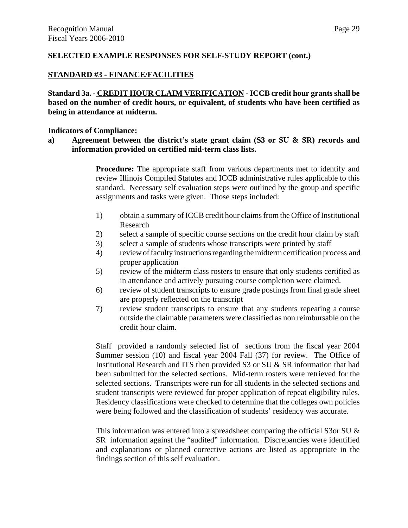## **SELECTED EXAMPLE RESPONSES FOR SELF-STUDY REPORT (cont.)**

## **STANDARD #3 - FINANCE/FACILITIES**

**Standard 3a. - CREDIT HOUR CLAIM VERIFICATION - ICCB credit hour grants shall be based on the number of credit hours, or equivalent, of students who have been certified as being in attendance at midterm.** 

#### **Indicators of Compliance:**

**a) Agreement between the district's state grant claim (S3 or SU & SR) records and information provided on certified mid-term class lists.**

> **Procedure:** The appropriate staff from various departments met to identify and review Illinois Compiled Statutes and ICCB administrative rules applicable to this standard. Necessary self evaluation steps were outlined by the group and specific assignments and tasks were given. Those steps included:

- 1) obtain a summary of ICCB credit hour claims from the Office of Institutional Research
- 2) select a sample of specific course sections on the credit hour claim by staff
- 3) select a sample of students whose transcripts were printed by staff
- 4) review of faculty instructions regarding the midterm certification process and proper application
- 5) review of the midterm class rosters to ensure that only students certified as in attendance and actively pursuing course completion were claimed.
- 6) review of student transcripts to ensure grade postings from final grade sheet are properly reflected on the transcript
- 7) review student transcripts to ensure that any students repeating a course outside the claimable parameters were classified as non reimbursable on the credit hour claim.

Staff provided a randomly selected list of sections from the fiscal year 2004 Summer session (10) and fiscal year 2004 Fall (37) for review. The Office of Institutional Research and ITS then provided S3 or SU & SR information that had been submitted for the selected sections. Mid-term rosters were retrieved for the selected sections. Transcripts were run for all students in the selected sections and student transcripts were reviewed for proper application of repeat eligibility rules. Residency classifications were checked to determine that the colleges own policies were being followed and the classification of students' residency was accurate.

This information was entered into a spreadsheet comparing the official S3or SU & SR information against the "audited" information. Discrepancies were identified and explanations or planned corrective actions are listed as appropriate in the findings section of this self evaluation.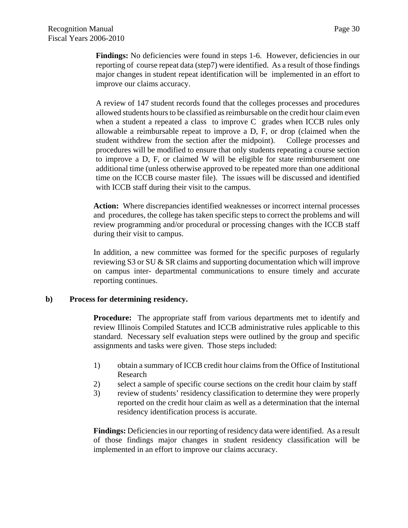Findings: No deficiencies were found in steps 1-6. However, deficiencies in our reporting of course repeat data (step7) were identified. As a result of those findings major changes in student repeat identification will be implemented in an effort to improve our claims accuracy.

A review of 147 student records found that the colleges processes and procedures allowed students hours to be classified as reimbursable on the credit hour claim even when a student a repeated a class to improve C grades when ICCB rules only allowable a reimbursable repeat to improve a D, F, or drop (claimed when the student withdrew from the section after the midpoint). College processes and procedures will be modified to ensure that only students repeating a course section to improve a D, F, or claimed W will be eligible for state reimbursement one additional time (unless otherwise approved to be repeated more than one additional time on the ICCB course master file). The issues will be discussed and identified with ICCB staff during their visit to the campus.

**Action:** Where discrepancies identified weaknesses or incorrect internal processes and procedures, the college has taken specific steps to correct the problems and will review programming and/or procedural or processing changes with the ICCB staff during their visit to campus.

In addition, a new committee was formed for the specific purposes of regularly reviewing S3 or SU & SR claims and supporting documentation which will improve on campus inter- departmental communications to ensure timely and accurate reporting continues.

## **b) Process for determining residency.**

**Procedure:** The appropriate staff from various departments met to identify and review Illinois Compiled Statutes and ICCB administrative rules applicable to this standard. Necessary self evaluation steps were outlined by the group and specific assignments and tasks were given. Those steps included:

- 1) obtain a summary of ICCB credit hour claims from the Office of Institutional Research
- 2) select a sample of specific course sections on the credit hour claim by staff
- 3) review of students' residency classification to determine they were properly reported on the credit hour claim as well as a determination that the internal residency identification process is accurate.

**Findings:** Deficiencies in our reporting of residency data were identified. As a result of those findings major changes in student residency classification will be implemented in an effort to improve our claims accuracy.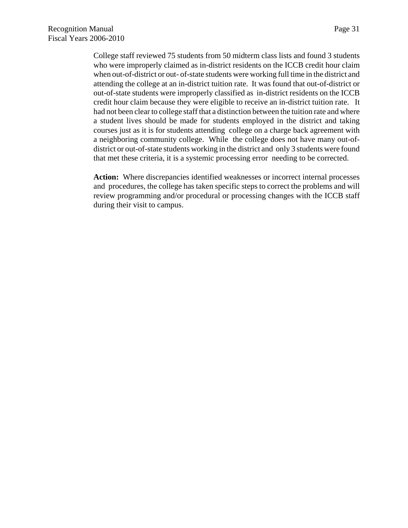College staff reviewed 75 students from 50 midterm class lists and found 3 students who were improperly claimed as in-district residents on the ICCB credit hour claim when out-of-district or out- of-state students were working full time in the district and attending the college at an in-district tuition rate. It was found that out-of-district or out-of-state students were improperly classified as in-district residents on the ICCB credit hour claim because they were eligible to receive an in-district tuition rate. It had not been clear to college staff that a distinction between the tuition rate and where a student lives should be made for students employed in the district and taking courses just as it is for students attending college on a charge back agreement with a neighboring community college. While the college does not have many out-ofdistrict or out-of-state students working in the district and only 3 students were found that met these criteria, it is a systemic processing error needing to be corrected.

Action: Where discrepancies identified weaknesses or incorrect internal processes and procedures, the college has taken specific steps to correct the problems and will review programming and/or procedural or processing changes with the ICCB staff during their visit to campus.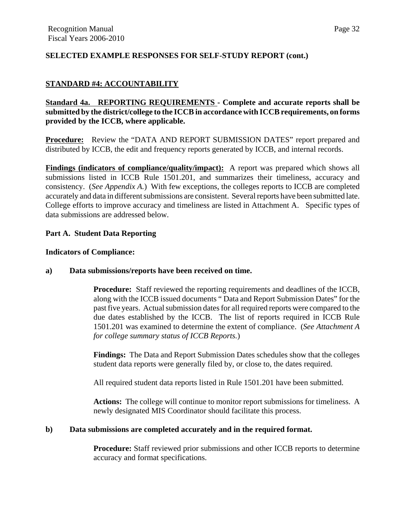# **SELECTED EXAMPLE RESPONSES FOR SELF-STUDY REPORT (cont.)**

# **STANDARD #4: ACCOUNTABILITY**

# **Standard 4a. REPORTING REQUIREMENTS - Complete and accurate reports shall be submitted by the district/college to the ICCB in accordance with ICCB requirements, on forms provided by the ICCB, where applicable.**

**Procedure:** Review the "DATA AND REPORT SUBMISSION DATES" report prepared and distributed by ICCB, the edit and frequency reports generated by ICCB, and internal records.

**Findings (indicators of compliance/quality/impact):** A report was prepared which shows all submissions listed in ICCB Rule 1501.201, and summarizes their timeliness, accuracy and consistency. (*See Appendix A.*) With few exceptions, the colleges reports to ICCB are completed accurately and data in different submissions are consistent. Several reports have been submitted late. College efforts to improve accuracy and timeliness are listed in Attachment A. Specific types of data submissions are addressed below.

## **Part A. Student Data Reporting**

#### **Indicators of Compliance:**

#### **a) Data submissions/reports have been received on time.**

**Procedure:** Staff reviewed the reporting requirements and deadlines of the ICCB, along with the ICCB issued documents " Data and Report Submission Dates" for the past five years. Actual submission dates for all required reports were compared to the due dates established by the ICCB. The list of reports required in ICCB Rule 1501.201 was examined to determine the extent of compliance. (*See Attachment A for college summary status of ICCB Reports.*)

**Findings:** The Data and Report Submission Dates schedules show that the colleges student data reports were generally filed by, or close to, the dates required.

All required student data reports listed in Rule 1501.201 have been submitted.

**Actions:** The college will continue to monitor report submissions for timeliness. A newly designated MIS Coordinator should facilitate this process.

## **b) Data submissions are completed accurately and in the required format.**

**Procedure:** Staff reviewed prior submissions and other ICCB reports to determine accuracy and format specifications.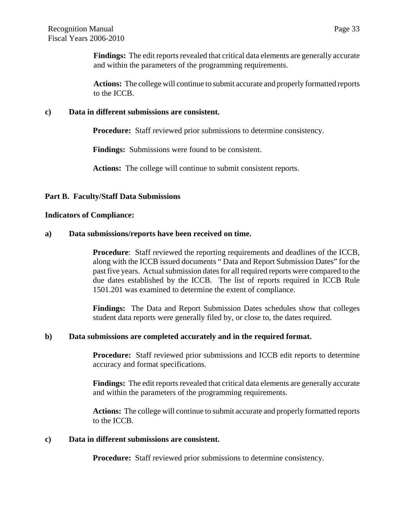**Findings:** The edit reports revealed that critical data elements are generally accurate and within the parameters of the programming requirements.

**Actions:** The college will continue to submit accurate and properly formatted reports to the ICCB.

#### **c) Data in different submissions are consistent.**

**Procedure:** Staff reviewed prior submissions to determine consistency.

**Findings:** Submissions were found to be consistent.

**Actions:** The college will continue to submit consistent reports.

#### **Part B. Faculty/Staff Data Submissions**

#### **Indicators of Compliance:**

#### **a) Data submissions/reports have been received on time.**

**Procedure**: Staff reviewed the reporting requirements and deadlines of the ICCB, along with the ICCB issued documents " Data and Report Submission Dates" for the past five years. Actual submission dates for all required reports were compared to the due dates established by the ICCB. The list of reports required in ICCB Rule 1501.201 was examined to determine the extent of compliance.

**Findings:** The Data and Report Submission Dates schedules show that colleges student data reports were generally filed by, or close to, the dates required.

#### **b) Data submissions are completed accurately and in the required format.**

**Procedure:** Staff reviewed prior submissions and ICCB edit reports to determine accuracy and format specifications.

**Findings:** The edit reports revealed that critical data elements are generally accurate and within the parameters of the programming requirements.

**Actions:** The college will continue to submit accurate and properly formatted reports to the ICCB.

#### **c) Data in different submissions are consistent.**

**Procedure:** Staff reviewed prior submissions to determine consistency.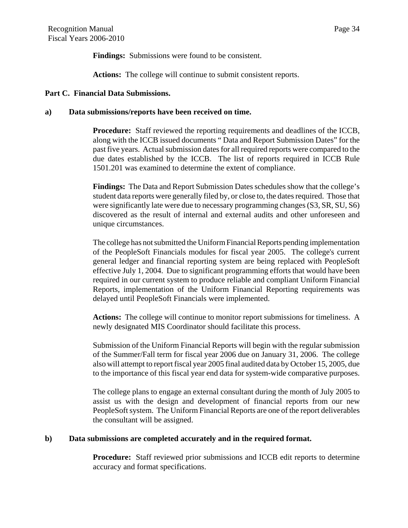**Findings:** Submissions were found to be consistent.

**Actions:** The college will continue to submit consistent reports.

#### **Part C. Financial Data Submissions.**

#### **a) Data submissions/reports have been received on time.**

**Procedure:** Staff reviewed the reporting requirements and deadlines of the ICCB, along with the ICCB issued documents " Data and Report Submission Dates" for the past five years. Actual submission dates for all required reports were compared to the due dates established by the ICCB. The list of reports required in ICCB Rule 1501.201 was examined to determine the extent of compliance.

**Findings:** The Data and Report Submission Dates schedules show that the college's student data reports were generally filed by, or close to, the dates required. Those that were significantly late were due to necessary programming changes (S3, SR, SU, S6) discovered as the result of internal and external audits and other unforeseen and unique circumstances.

The college has not submitted the Uniform Financial Reports pending implementation of the PeopleSoft Financials modules for fiscal year 2005. The college's current general ledger and financial reporting system are being replaced with PeopleSoft effective July 1, 2004. Due to significant programming efforts that would have been required in our current system to produce reliable and compliant Uniform Financial Reports, implementation of the Uniform Financial Reporting requirements was delayed until PeopleSoft Financials were implemented.

**Actions:** The college will continue to monitor report submissions for timeliness. A newly designated MIS Coordinator should facilitate this process.

Submission of the Uniform Financial Reports will begin with the regular submission of the Summer/Fall term for fiscal year 2006 due on January 31, 2006. The college also will attempt to report fiscal year 2005 final audited data by October 15, 2005, due to the importance of this fiscal year end data for system-wide comparative purposes.

The college plans to engage an external consultant during the month of July 2005 to assist us with the design and development of financial reports from our new PeopleSoft system. The Uniform Financial Reports are one of the report deliverables the consultant will be assigned.

## **b) Data submissions are completed accurately and in the required format.**

**Procedure:** Staff reviewed prior submissions and ICCB edit reports to determine accuracy and format specifications.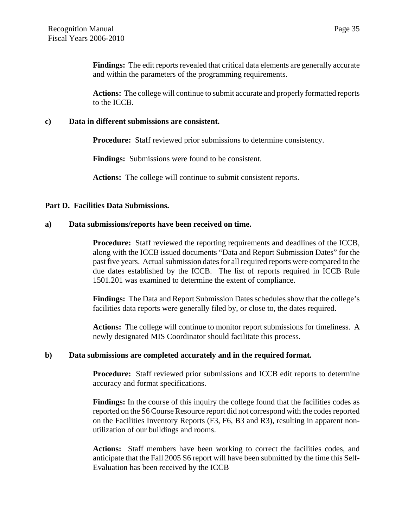**Findings:** The edit reports revealed that critical data elements are generally accurate and within the parameters of the programming requirements.

**Actions:** The college will continue to submit accurate and properly formatted reports to the ICCB.

#### **c) Data in different submissions are consistent.**

**Procedure:** Staff reviewed prior submissions to determine consistency.

**Findings:** Submissions were found to be consistent.

**Actions:** The college will continue to submit consistent reports.

## **Part D. Facilities Data Submissions.**

#### **a) Data submissions/reports have been received on time.**

**Procedure:** Staff reviewed the reporting requirements and deadlines of the ICCB, along with the ICCB issued documents "Data and Report Submission Dates" for the past five years. Actual submission dates for all required reports were compared to the due dates established by the ICCB. The list of reports required in ICCB Rule 1501.201 was examined to determine the extent of compliance.

**Findings:** The Data and Report Submission Dates schedules show that the college's facilities data reports were generally filed by, or close to, the dates required.

**Actions:** The college will continue to monitor report submissions for timeliness. A newly designated MIS Coordinator should facilitate this process.

## **b) Data submissions are completed accurately and in the required format.**

**Procedure:** Staff reviewed prior submissions and ICCB edit reports to determine accuracy and format specifications.

**Findings:** In the course of this inquiry the college found that the facilities codes as reported on the S6 Course Resource report did not correspond with the codes reported on the Facilities Inventory Reports (F3, F6, B3 and R3), resulting in apparent nonutilization of our buildings and rooms.

**Actions:** Staff members have been working to correct the facilities codes, and anticipate that the Fall 2005 S6 report will have been submitted by the time this Self-Evaluation has been received by the ICCB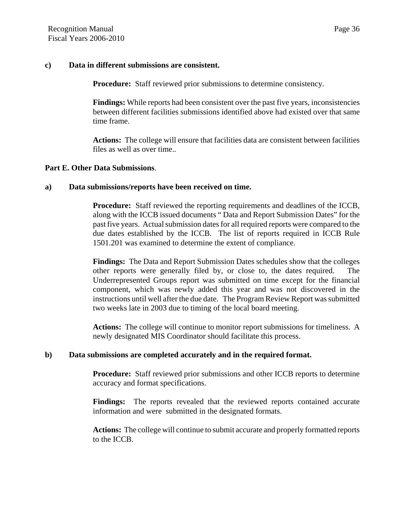#### **c) Data in different submissions are consistent.**

**Procedure:** Staff reviewed prior submissions to determine consistency.

**Findings:** While reports had been consistent over the past five years, inconsistencies between different facilities submissions identified above had existed over that same time frame.

**Actions:** The college will ensure that facilities data are consistent between facilities files as well as over time..

#### **Part E. Other Data Submissions**.

#### **a) Data submissions/reports have been received on time.**

**Procedure:** Staff reviewed the reporting requirements and deadlines of the ICCB, along with the ICCB issued documents " Data and Report Submission Dates" for the past five years. Actual submission dates for all required reports were compared to the due dates established by the ICCB. The list of reports required in ICCB Rule 1501.201 was examined to determine the extent of compliance.

**Findings:** The Data and Report Submission Dates schedules show that the colleges other reports were generally filed by, or close to, the dates required. The Underrepresented Groups report was submitted on time except for the financial component, which was newly added this year and was not discovered in the instructions until well after the due date. The Program Review Report was submitted two weeks late in 2003 due to timing of the local board meeting.

**Actions:** The college will continue to monitor report submissions for timeliness. A newly designated MIS Coordinator should facilitate this process.

## **b) Data submissions are completed accurately and in the required format.**

**Procedure:** Staff reviewed prior submissions and other ICCB reports to determine accuracy and format specifications.

**Findings:** The reports revealed that the reviewed reports contained accurate information and were submitted in the designated formats.

**Actions:** The college will continue to submit accurate and properly formatted reports to the ICCB.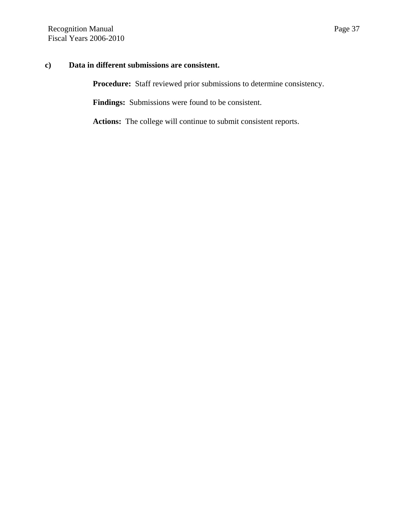# **c) Data in different submissions are consistent.**

Procedure: Staff reviewed prior submissions to determine consistency.

**Findings:** Submissions were found to be consistent.

**Actions:** The college will continue to submit consistent reports.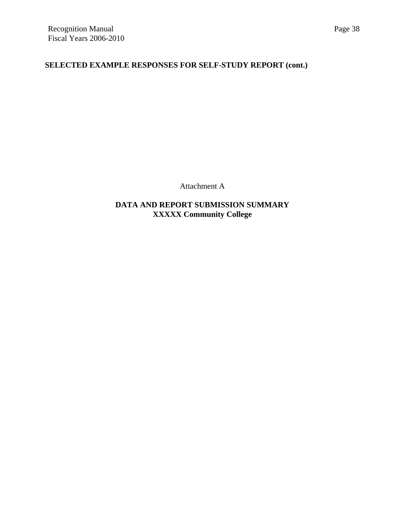# **SELECTED EXAMPLE RESPONSES FOR SELF-STUDY REPORT (cont.)**

Attachment A

**DATA AND REPORT SUBMISSION SUMMARY XXXXX Community College**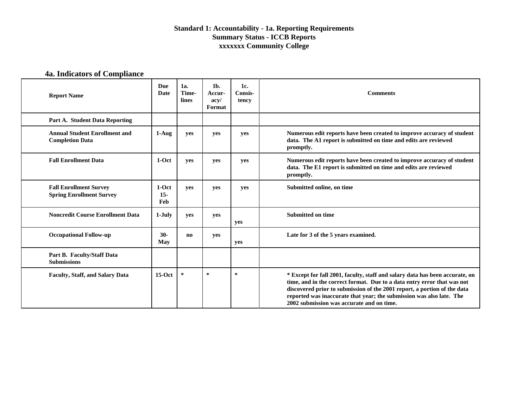# **4a. Indicators of Compliance**

| <b>Report Name</b>                                               | <b>Due</b><br>Date       | 1a.<br>Time-<br>lines | $1b$ .<br>Accur-<br>acv/<br>Format | 1c.<br>Consis-<br>tency | <b>Comments</b>                                                                                                                                                                                                                                                                                                                                          |
|------------------------------------------------------------------|--------------------------|-----------------------|------------------------------------|-------------------------|----------------------------------------------------------------------------------------------------------------------------------------------------------------------------------------------------------------------------------------------------------------------------------------------------------------------------------------------------------|
| Part A. Student Data Reporting                                   |                          |                       |                                    |                         |                                                                                                                                                                                                                                                                                                                                                          |
| <b>Annual Student Enrollment and</b><br><b>Completion Data</b>   | $1-Auq$                  | yes                   | yes                                | yes                     | Numerous edit reports have been created to improve accuracy of student<br>data. The A1 report is submitted on time and edits are reviewed<br>promptly.                                                                                                                                                                                                   |
| <b>Fall Enrollment Data</b>                                      | $1-Oct$                  | yes                   | yes                                | yes                     | Numerous edit reports have been created to improve accuracy of student<br>data. The E1 report is submitted on time and edits are reviewed<br>promptly.                                                                                                                                                                                                   |
| <b>Fall Enrollment Survey</b><br><b>Spring Enrollment Survey</b> | $1-Oct$<br>$15 -$<br>Feb | yes                   | yes                                | yes                     | Submitted online, on time                                                                                                                                                                                                                                                                                                                                |
| <b>Noncredit Course Enrollment Data</b>                          | $1-July$                 | ves                   | ves                                | yes                     | <b>Submitted on time</b>                                                                                                                                                                                                                                                                                                                                 |
| <b>Occupational Follow-up</b>                                    | $30-$<br><b>May</b>      | no                    | yes                                | yes                     | Late for 3 of the 5 years examined.                                                                                                                                                                                                                                                                                                                      |
| Part B. Faculty/Staff Data<br><b>Submissions</b>                 |                          |                       |                                    |                         |                                                                                                                                                                                                                                                                                                                                                          |
| Faculty, Staff, and Salary Data                                  | $15-Oct$                 | ∗                     | ∗                                  | *                       | * Except for fall 2001, faculty, staff and salary data has been accurate, on<br>time, and in the correct format. Due to a data entry error that was not<br>discovered prior to submission of the 2001 report, a portion of the data<br>reported was inaccurate that year; the submission was also late. The<br>2002 submission was accurate and on time. |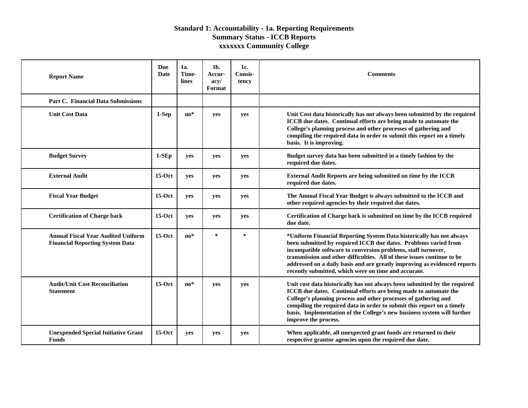| <b>Report Name</b>                                                                  | Due<br>Date | 1a.<br>Time-<br>lines | $1b$ .<br><b>Accur-</b><br>acy/<br>Format | 1c.<br>Consis-<br>tency | <b>Comments</b>                                                                                                                                                                                                                                                                                                                                                                                                          |
|-------------------------------------------------------------------------------------|-------------|-----------------------|-------------------------------------------|-------------------------|--------------------------------------------------------------------------------------------------------------------------------------------------------------------------------------------------------------------------------------------------------------------------------------------------------------------------------------------------------------------------------------------------------------------------|
| Part C. Financial Data Submissions                                                  |             |                       |                                           |                         |                                                                                                                                                                                                                                                                                                                                                                                                                          |
| <b>Unit Cost Data</b>                                                               | $1-Sep$     | $\mathbf{no}^*$       | yes                                       | yes                     | Unit Cost data historically has not always been submitted by the required<br>ICCB due dates. Continual efforts are being made to automate the<br>College's planning process and other processes of gathering and<br>compiling the required data in order to submit this report on a timely<br>basis. It is improving.                                                                                                    |
| <b>Budget Survey</b>                                                                | $1-SEp$     | yes                   | yes                                       | yes                     | Budget survey data has been submitted in a timely fashion by the<br>required due dates.                                                                                                                                                                                                                                                                                                                                  |
| <b>External Audit</b>                                                               | $15-Oct$    | yes                   | yes                                       | yes                     | External Audit Reports are being submitted on time by the ICCB<br>required due dates.                                                                                                                                                                                                                                                                                                                                    |
| <b>Fiscal Year Budget</b>                                                           | $15-Oct$    | ves                   | yes                                       | yes                     | The Annual Fiscal Year Budget is always submitted to the ICCB and<br>other required agencies by their required due dates.                                                                                                                                                                                                                                                                                                |
| <b>Certification of Charge back</b>                                                 | $15-Oct$    | yes                   | yes                                       | yes                     | Certification of Charge back is submitted on time by the ICCB required<br>due date.                                                                                                                                                                                                                                                                                                                                      |
| <b>Annual Fiscal Year Audited Uniform</b><br><b>Financial Reporting System Data</b> | $15-Oct$    | $no*$                 | $\ast$                                    | *                       | *Uniform Financial Reporting System Data historically has not always<br>been submitted by required ICCB due dates. Problems varied from<br>incompatible software to conversion problems, staff turnover,<br>transmission and other difficulties. All of these issues continue to be<br>addressed on a daily basis and are greatly improving as evidenced reports<br>recently submitted, which were on time and accurate. |
| <b>Audit/Unit Cost Reconciliation</b><br><b>Statement</b>                           | $15-Oct$    | $\mathbf{no}^*$       | yes                                       | yes                     | Unit cost data historically has not always been submitted by the required<br>ICCB due dates. Continual efforts are being made to automate the<br>College's planning process and other processes of gathering and<br>compiling the required data in order to submit this report on a timely<br>basis. Implementation of the College's new business system will further<br>improve the process.                            |
| <b>Unexpended Special Initiative Grant</b><br><b>Funds</b>                          | $15-Oct$    | yes                   | yes                                       | yes                     | When applicable, all unexpected grant funds are returned to their<br>respective grantor agencies upon the required due date.                                                                                                                                                                                                                                                                                             |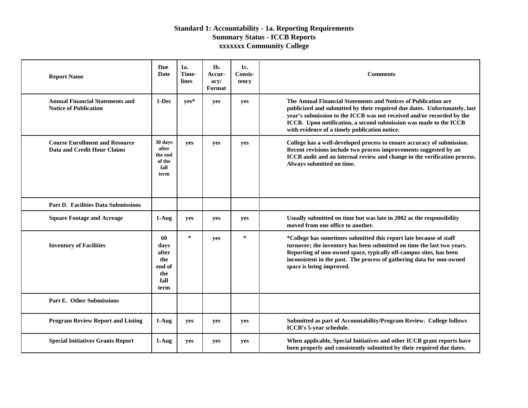| <b>Report Name</b>                                                          | Due<br>Date                                                 | 1a.<br>Time-<br>lines | 1b.<br>Accur-<br>acy/<br>Format | 1c.<br>Consis-<br>tency | <b>Comments</b>                                                                                                                                                                                                                                                                                                                            |
|-----------------------------------------------------------------------------|-------------------------------------------------------------|-----------------------|---------------------------------|-------------------------|--------------------------------------------------------------------------------------------------------------------------------------------------------------------------------------------------------------------------------------------------------------------------------------------------------------------------------------------|
| <b>Annual Financial Statements and</b><br><b>Notice of Publication</b>      | 1-Dec                                                       | ves*                  | yes                             | yes                     | The Annual Financial Statements and Notices of Publication are<br>publicized and submitted by their required due dates. Unfortunately, last<br>year's submission to the ICCB was not received and/or recorded by the<br>ICCB. Upon notification, a second submission was made to the ICCB<br>with evidence of a timely publication notice. |
| <b>Course Enrollment and Resource</b><br><b>Data and Credit Hour Claims</b> | 30 days<br>after<br>the end<br>of the<br>fall<br>term       | yes                   | yes                             | yes                     | College has a well-developed process to ensure accuracy of submission.<br>Recent revisions include two process improvements suggested by an<br>ICCB audit and an internal review and change in the verification process.<br>Always submitted on time.                                                                                      |
| <b>Part D. Facilities Data Submissions</b>                                  |                                                             |                       |                                 |                         |                                                                                                                                                                                                                                                                                                                                            |
| <b>Square Footage and Acreage</b>                                           | $1-Aug$                                                     | ves                   | yes                             | yes                     | Usually submitted on time but was late in 2002 as the responsibility<br>moved from one office to another.                                                                                                                                                                                                                                  |
| <b>Inventory of Facilities</b>                                              | 60<br>days<br>after<br>the<br>end of<br>the<br>fall<br>term | $\ast$                | yes                             | $\ast$                  | *College has sometimes submitted this report late because of staff<br>turnover; the inventory has been submitted on time the last two years.<br>Reporting of non-owned space, typically off-campus sites, has been<br>inconsistent in the past. The process of gathering data for non-owned<br>space is being improved.                    |
| <b>Part E. Other Submissions</b>                                            |                                                             |                       |                                 |                         |                                                                                                                                                                                                                                                                                                                                            |
| <b>Program Review Report and Listing</b>                                    | $1-Aug$                                                     | yes                   | yes                             | yes                     | Submitted as part of Accountability/Program Review. College follows<br>ICCB's 5-year schedule.                                                                                                                                                                                                                                             |
| <b>Special Initiatives Grants Report</b>                                    | $1-Aug$                                                     | ves                   | yes                             | yes                     | When applicable, Special Initiatives and other ICCB grant reports have<br>been properly and consistently submitted by their required due dates.                                                                                                                                                                                            |